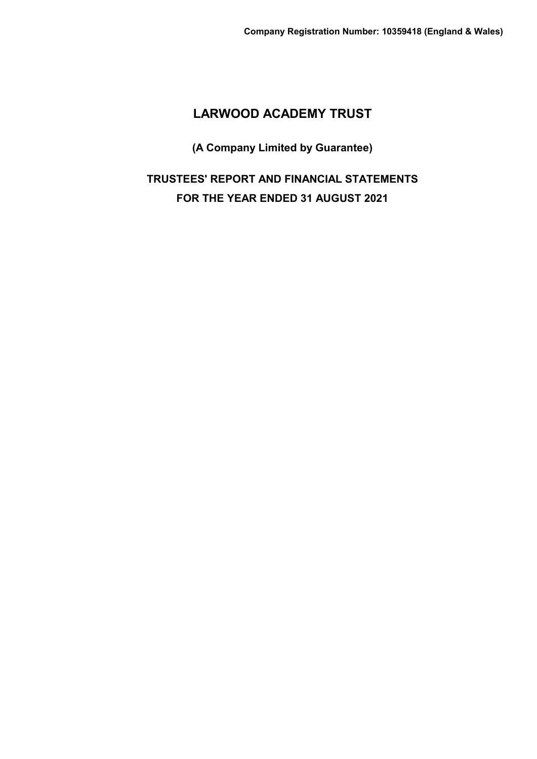# **(A Company Limited by Guarantee)**

# **TRUSTEES' REPORT AND FINANCIAL STATEMENTS FOR THE YEAR ENDED 31 AUGUST 2021**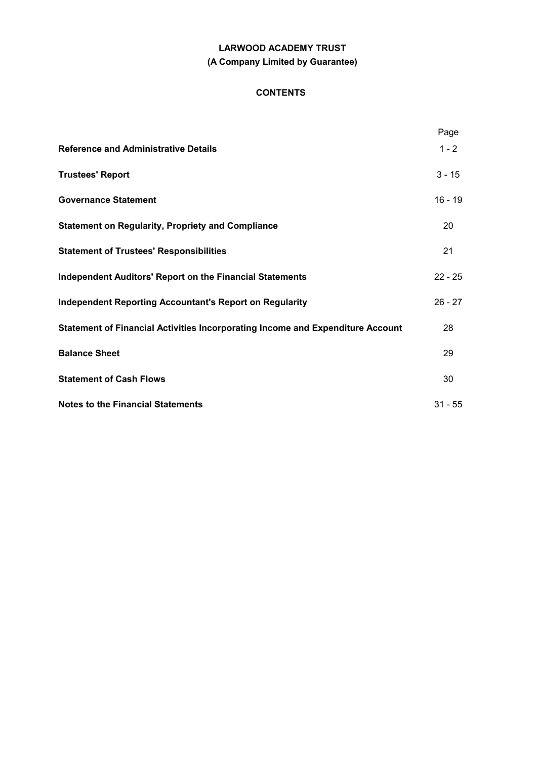# **LARWOOD ACADEMY TRUST (A Company Limited by Guarantee)**

# **CONTENTS**

|                                                                                | Page      |
|--------------------------------------------------------------------------------|-----------|
| <b>Reference and Administrative Details</b>                                    | $1 - 2$   |
| <b>Trustees' Report</b>                                                        | $3 - 15$  |
| <b>Governance Statement</b>                                                    | $16 - 19$ |
| <b>Statement on Regularity, Propriety and Compliance</b>                       | 20        |
| <b>Statement of Trustees' Responsibilities</b>                                 | 21        |
| <b>Independent Auditors' Report on the Financial Statements</b>                | $22 - 25$ |
| <b>Independent Reporting Accountant's Report on Regularity</b>                 | $26 - 27$ |
| Statement of Financial Activities Incorporating Income and Expenditure Account | 28        |
| <b>Balance Sheet</b>                                                           | 29        |
| <b>Statement of Cash Flows</b>                                                 | 30        |
| <b>Notes to the Financial Statements</b>                                       | $31 - 55$ |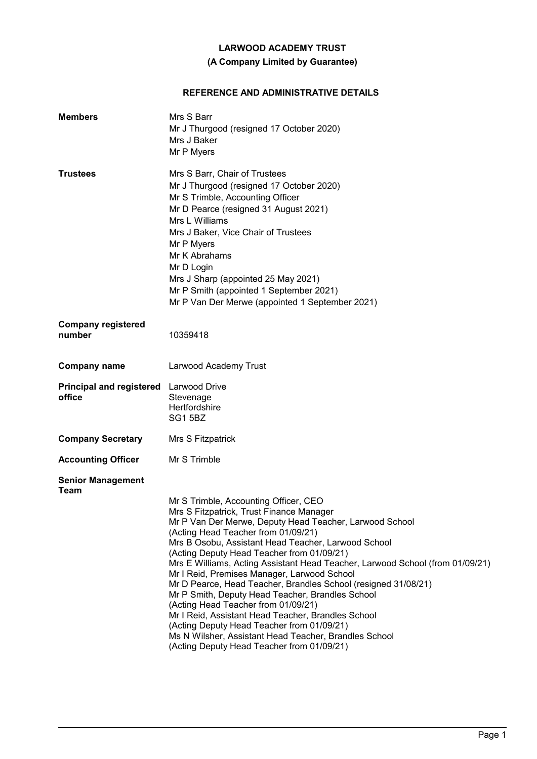# **(A Company Limited by Guarantee)**

# **REFERENCE AND ADMINISTRATIVE DETAILS**

| <b>Members</b>                            | Mrs S Barr<br>Mr J Thurgood (resigned 17 October 2020)<br>Mrs J Baker<br>Mr P Myers                                                                                                                                                                                                                                                                                                                                                                                                                                                                                                                                                                                                                                                                                                              |
|-------------------------------------------|--------------------------------------------------------------------------------------------------------------------------------------------------------------------------------------------------------------------------------------------------------------------------------------------------------------------------------------------------------------------------------------------------------------------------------------------------------------------------------------------------------------------------------------------------------------------------------------------------------------------------------------------------------------------------------------------------------------------------------------------------------------------------------------------------|
| <b>Trustees</b>                           | Mrs S Barr, Chair of Trustees<br>Mr J Thurgood (resigned 17 October 2020)<br>Mr S Trimble, Accounting Officer<br>Mr D Pearce (resigned 31 August 2021)<br>Mrs L Williams<br>Mrs J Baker, Vice Chair of Trustees<br>Mr P Myers<br>Mr K Abrahams<br>Mr D Login<br>Mrs J Sharp (appointed 25 May 2021)<br>Mr P Smith (appointed 1 September 2021)<br>Mr P Van Der Merwe (appointed 1 September 2021)                                                                                                                                                                                                                                                                                                                                                                                                |
| <b>Company registered</b><br>number       | 10359418                                                                                                                                                                                                                                                                                                                                                                                                                                                                                                                                                                                                                                                                                                                                                                                         |
| <b>Company name</b>                       | Larwood Academy Trust                                                                                                                                                                                                                                                                                                                                                                                                                                                                                                                                                                                                                                                                                                                                                                            |
| <b>Principal and registered</b><br>office | <b>Larwood Drive</b><br>Stevenage<br>Hertfordshire<br>SG15BZ                                                                                                                                                                                                                                                                                                                                                                                                                                                                                                                                                                                                                                                                                                                                     |
| <b>Company Secretary</b>                  | Mrs S Fitzpatrick                                                                                                                                                                                                                                                                                                                                                                                                                                                                                                                                                                                                                                                                                                                                                                                |
| <b>Accounting Officer</b>                 | Mr S Trimble                                                                                                                                                                                                                                                                                                                                                                                                                                                                                                                                                                                                                                                                                                                                                                                     |
| <b>Senior Management</b><br>Team          | Mr S Trimble, Accounting Officer, CEO<br>Mrs S Fitzpatrick, Trust Finance Manager<br>Mr P Van Der Merwe, Deputy Head Teacher, Larwood School<br>(Acting Head Teacher from 01/09/21)<br>Mrs B Osobu, Assistant Head Teacher, Larwood School<br>(Acting Deputy Head Teacher from 01/09/21)<br>Mrs E Williams, Acting Assistant Head Teacher, Larwood School (from 01/09/21)<br>Mr I Reid, Premises Manager, Larwood School<br>Mr D Pearce, Head Teacher, Brandles School (resigned 31/08/21)<br>Mr P Smith, Deputy Head Teacher, Brandles School<br>(Acting Head Teacher from 01/09/21)<br>Mr I Reid, Assistant Head Teacher, Brandles School<br>(Acting Deputy Head Teacher from 01/09/21)<br>Ms N Wilsher, Assistant Head Teacher, Brandles School<br>(Acting Deputy Head Teacher from 01/09/21) |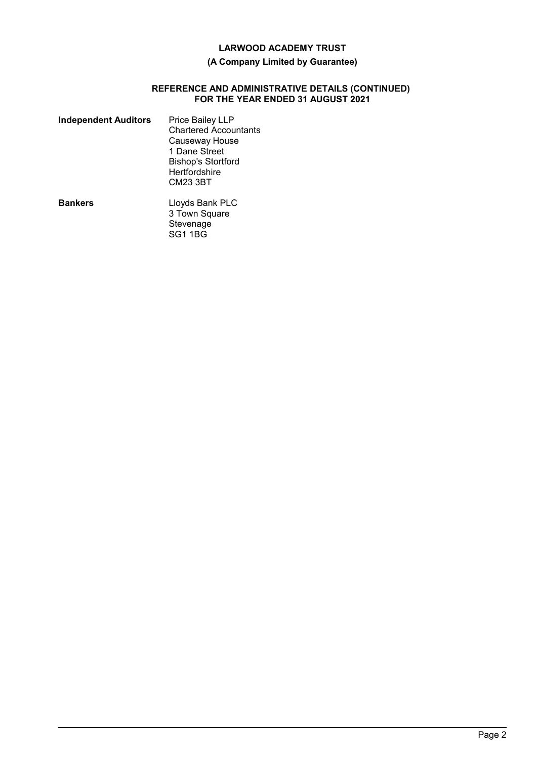# **(A Company Limited by Guarantee)**

### **REFERENCE AND ADMINISTRATIVE DETAILS (CONTINUED) FOR THE YEAR ENDED 31 AUGUST 2021**

| <b>Independent Auditors</b> | Price Bailey LLP<br><b>Chartered Accountants</b><br>Causeway House<br>1 Dane Street<br><b>Bishop's Stortford</b><br>Hertfordshire<br>CM23 3BT |
|-----------------------------|-----------------------------------------------------------------------------------------------------------------------------------------------|
| <b>Bankers</b>              | Lloyds Bank PLC<br>3 Town Square<br>Stevenage                                                                                                 |

SG1 1BG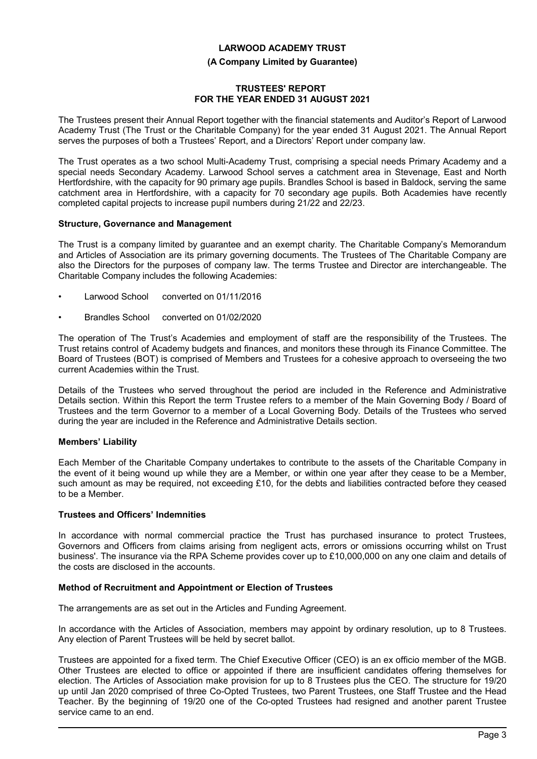### **(A Company Limited by Guarantee)**

# **TRUSTEES' REPORT FOR THE YEAR ENDED 31 AUGUST 2021**

The Trustees present their Annual Report together with the financial statements and Auditor's Report of Larwood Academy Trust (The Trust or the Charitable Company) for the year ended 31 August 2021. The Annual Report serves the purposes of both a Trustees' Report, and a Directors' Report under company law.

The Trust operates as a two school Multi-Academy Trust, comprising a special needs Primary Academy and a special needs Secondary Academy. Larwood School serves a catchment area in Stevenage, East and North Hertfordshire, with the capacity for 90 primary age pupils. Brandles School is based in Baldock, serving the same catchment area in Hertfordshire, with a capacity for 70 secondary age pupils. Both Academies have recently completed capital projects to increase pupil numbers during 21/22 and 22/23.

### **Structure, Governance and Management**

The Trust is a company limited by guarantee and an exempt charity. The Charitable Company's Memorandum and Articles of Association are its primary governing documents. The Trustees of The Charitable Company are also the Directors for the purposes of company law. The terms Trustee and Director are interchangeable. The Charitable Company includes the following Academies:

- Larwood School converted on 01/11/2016
- Brandles School converted on 01/02/2020

The operation of The Trust's Academies and employment of staff are the responsibility of the Trustees. The Trust retains control of Academy budgets and finances, and monitors these through its Finance Committee. The Board of Trustees (BOT) is comprised of Members and Trustees for a cohesive approach to overseeing the two current Academies within the Trust.

Details of the Trustees who served throughout the period are included in the Reference and Administrative Details section. Within this Report the term Trustee refers to a member of the Main Governing Body / Board of Trustees and the term Governor to a member of a Local Governing Body. Details of the Trustees who served during the year are included in the Reference and Administrative Details section.

## **Members' Liability**

Each Member of the Charitable Company undertakes to contribute to the assets of the Charitable Company in the event of it being wound up while they are a Member, or within one year after they cease to be a Member, such amount as may be required, not exceeding £10, for the debts and liabilities contracted before they ceased to be a Member.

#### **Trustees and Officers' Indemnities**

In accordance with normal commercial practice the Trust has purchased insurance to protect Trustees, Governors and Officers from claims arising from negligent acts, errors or omissions occurring whilst on Trust business'. The insurance via the RPA Scheme provides cover up to £10,000,000 on any one claim and details of the costs are disclosed in the accounts.

# **Method of Recruitment and Appointment or Election of Trustees**

The arrangements are as set out in the Articles and Funding Agreement.

In accordance with the Articles of Association, members may appoint by ordinary resolution, up to 8 Trustees. Any election of Parent Trustees will be held by secret ballot.

Trustees are appointed for a fixed term. The Chief Executive Officer (CEO) is an ex officio member of the MGB. Other Trustees are elected to office or appointed if there are insufficient candidates offering themselves for election. The Articles of Association make provision for up to 8 Trustees plus the CEO. The structure for 19/20 up until Jan 2020 comprised of three Co-Opted Trustees, two Parent Trustees, one Staff Trustee and the Head Teacher. By the beginning of 19/20 one of the Co-opted Trustees had resigned and another parent Trustee service came to an end.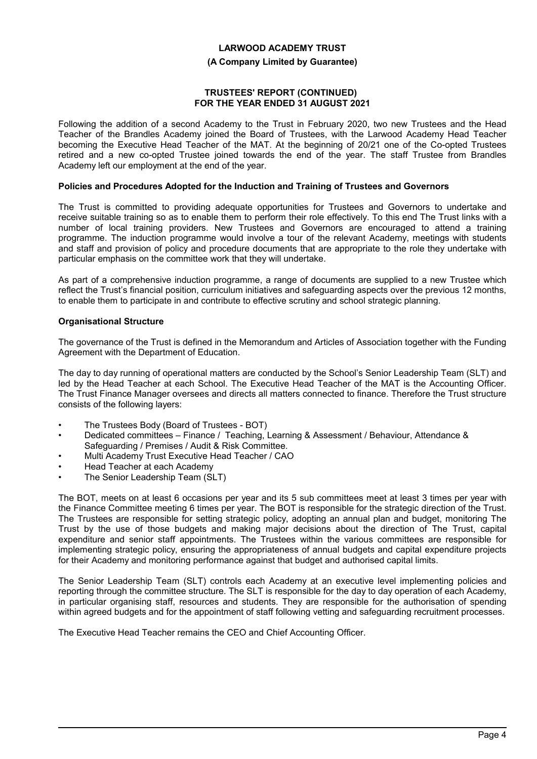#### **(A Company Limited by Guarantee)**

#### **TRUSTEES' REPORT (CONTINUED) FOR THE YEAR ENDED 31 AUGUST 2021**

Following the addition of a second Academy to the Trust in February 2020, two new Trustees and the Head Teacher of the Brandles Academy joined the Board of Trustees, with the Larwood Academy Head Teacher becoming the Executive Head Teacher of the MAT. At the beginning of 20/21 one of the Co-opted Trustees retired and a new co-opted Trustee joined towards the end of the year. The staff Trustee from Brandles Academy left our employment at the end of the year.

### **Policies and Procedures Adopted for the Induction and Training of Trustees and Governors**

The Trust is committed to providing adequate opportunities for Trustees and Governors to undertake and receive suitable training so as to enable them to perform their role effectively. To this end The Trust links with a number of local training providers. New Trustees and Governors are encouraged to attend a training programme. The induction programme would involve a tour of the relevant Academy, meetings with students and staff and provision of policy and procedure documents that are appropriate to the role they undertake with particular emphasis on the committee work that they will undertake.

As part of a comprehensive induction programme, a range of documents are supplied to a new Trustee which reflect the Trust's financial position, curriculum initiatives and safeguarding aspects over the previous 12 months, to enable them to participate in and contribute to effective scrutiny and school strategic planning.

## **Organisational Structure**

The governance of the Trust is defined in the Memorandum and Articles of Association together with the Funding Agreement with the Department of Education.

The day to day running of operational matters are conducted by the School's Senior Leadership Team (SLT) and led by the Head Teacher at each School. The Executive Head Teacher of the MAT is the Accounting Officer. The Trust Finance Manager oversees and directs all matters connected to finance. Therefore the Trust structure consists of the following layers:

- The Trustees Body (Board of Trustees BOT)
- Dedicated committees Finance / Teaching, Learning & Assessment / Behaviour, Attendance & Safeguarding / Premises / Audit & Risk Committee.
- Multi Academy Trust Executive Head Teacher / CAO
- Head Teacher at each Academy
- The Senior Leadership Team (SLT)

The BOT, meets on at least 6 occasions per year and its 5 sub committees meet at least 3 times per year with the Finance Committee meeting 6 times per year. The BOT is responsible for the strategic direction of the Trust. The Trustees are responsible for setting strategic policy, adopting an annual plan and budget, monitoring The Trust by the use of those budgets and making major decisions about the direction of The Trust, capital expenditure and senior staff appointments. The Trustees within the various committees are responsible for implementing strategic policy, ensuring the appropriateness of annual budgets and capital expenditure projects for their Academy and monitoring performance against that budget and authorised capital limits.

The Senior Leadership Team (SLT) controls each Academy at an executive level implementing policies and reporting through the committee structure. The SLT is responsible for the day to day operation of each Academy, in particular organising staff, resources and students. They are responsible for the authorisation of spending within agreed budgets and for the appointment of staff following vetting and safeguarding recruitment processes.

The Executive Head Teacher remains the CEO and Chief Accounting Officer.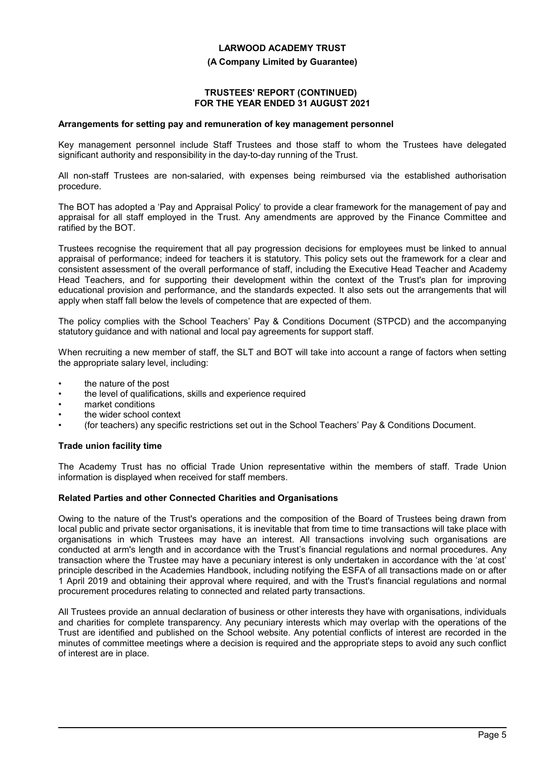#### **(A Company Limited by Guarantee)**

#### **TRUSTEES' REPORT (CONTINUED) FOR THE YEAR ENDED 31 AUGUST 2021**

#### **Arrangements for setting pay and remuneration of key management personnel**

Key management personnel include Staff Trustees and those staff to whom the Trustees have delegated significant authority and responsibility in the day-to-day running of the Trust.

All non-staff Trustees are non-salaried, with expenses being reimbursed via the established authorisation procedure.

The BOT has adopted a 'Pay and Appraisal Policy' to provide a clear framework for the management of pay and appraisal for all staff employed in the Trust. Any amendments are approved by the Finance Committee and ratified by the BOT.

Trustees recognise the requirement that all pay progression decisions for employees must be linked to annual appraisal of performance; indeed for teachers it is statutory. This policy sets out the framework for a clear and consistent assessment of the overall performance of staff, including the Executive Head Teacher and Academy Head Teachers, and for supporting their development within the context of the Trust's plan for improving educational provision and performance, and the standards expected. It also sets out the arrangements that will apply when staff fall below the levels of competence that are expected of them.

The policy complies with the School Teachers' Pay & Conditions Document (STPCD) and the accompanying statutory guidance and with national and local pay agreements for support staff.

When recruiting a new member of staff, the SLT and BOT will take into account a range of factors when setting the appropriate salary level, including:

- the nature of the post
- the level of qualifications, skills and experience required
- market conditions
- the wider school context
- (for teachers) any specific restrictions set out in the School Teachers' Pay & Conditions Document.

## **Trade union facility time**

The Academy Trust has no official Trade Union representative within the members of staff. Trade Union information is displayed when received for staff members.

# **Related Parties and other Connected Charities and Organisations**

Owing to the nature of the Trust's operations and the composition of the Board of Trustees being drawn from local public and private sector organisations, it is inevitable that from time to time transactions will take place with organisations in which Trustees may have an interest. All transactions involving such organisations are conducted at arm's length and in accordance with the Trust's financial regulations and normal procedures. Any transaction where the Trustee may have a pecuniary interest is only undertaken in accordance with the 'at cost' principle described in the Academies Handbook, including notifying the ESFA of all transactions made on or after 1 April 2019 and obtaining their approval where required, and with the Trust's financial regulations and normal procurement procedures relating to connected and related party transactions.

All Trustees provide an annual declaration of business or other interests they have with organisations, individuals and charities for complete transparency. Any pecuniary interests which may overlap with the operations of the Trust are identified and published on the School website. Any potential conflicts of interest are recorded in the minutes of committee meetings where a decision is required and the appropriate steps to avoid any such conflict of interest are in place.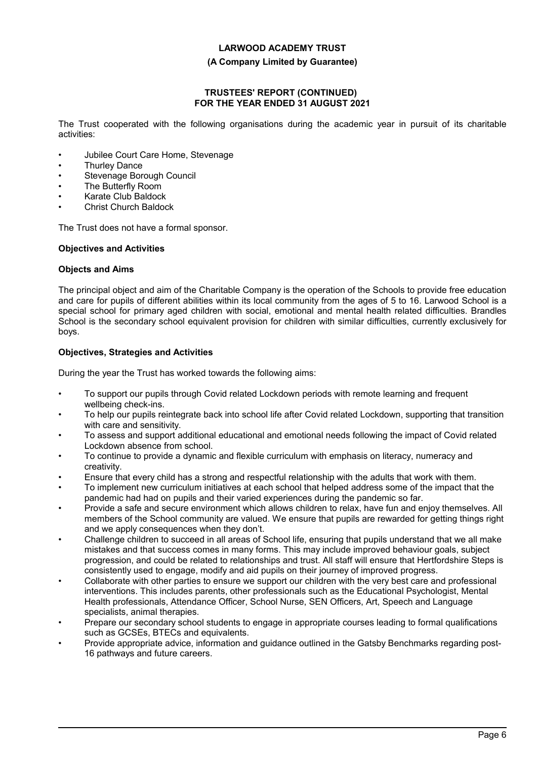#### **(A Company Limited by Guarantee)**

#### **TRUSTEES' REPORT (CONTINUED) FOR THE YEAR ENDED 31 AUGUST 2021**

The Trust cooperated with the following organisations during the academic year in pursuit of its charitable activities:

- Jubilee Court Care Home, Stevenage
- **Thurley Dance**
- Stevenage Borough Council
- The Butterfly Room
- Karate Club Baldock
- Christ Church Baldock

The Trust does not have a formal sponsor.

## **Objectives and Activities**

# **Objects and Aims**

The principal object and aim of the Charitable Company is the operation of the Schools to provide free education and care for pupils of different abilities within its local community from the ages of 5 to 16. Larwood School is a special school for primary aged children with social, emotional and mental health related difficulties. Brandles School is the secondary school equivalent provision for children with similar difficulties, currently exclusively for boys.

# **Objectives, Strategies and Activities**

During the year the Trust has worked towards the following aims:

- To support our pupils through Covid related Lockdown periods with remote learning and frequent wellbeing check-ins.
- To help our pupils reintegrate back into school life after Covid related Lockdown, supporting that transition with care and sensitivity.
- To assess and support additional educational and emotional needs following the impact of Covid related Lockdown absence from school.
- To continue to provide a dynamic and flexible curriculum with emphasis on literacy, numeracy and creativity.
- Ensure that every child has a strong and respectful relationship with the adults that work with them.
- To implement new curriculum initiatives at each school that helped address some of the impact that the pandemic had had on pupils and their varied experiences during the pandemic so far.
- Provide a safe and secure environment which allows children to relax, have fun and enjoy themselves. All members of the School community are valued. We ensure that pupils are rewarded for getting things right and we apply consequences when they don't.
- Challenge children to succeed in all areas of School life, ensuring that pupils understand that we all make mistakes and that success comes in many forms. This may include improved behaviour goals, subject progression, and could be related to relationships and trust. All staff will ensure that Hertfordshire Steps is consistently used to engage, modify and aid pupils on their journey of improved progress.
- Collaborate with other parties to ensure we support our children with the very best care and professional interventions. This includes parents, other professionals such as the Educational Psychologist, Mental Health professionals, Attendance Officer, School Nurse, SEN Officers, Art, Speech and Language specialists, animal therapies.
- Prepare our secondary school students to engage in appropriate courses leading to formal qualifications such as GCSEs. BTECs and equivalents.
- Provide appropriate advice, information and guidance outlined in the Gatsby Benchmarks regarding post-16 pathways and future careers.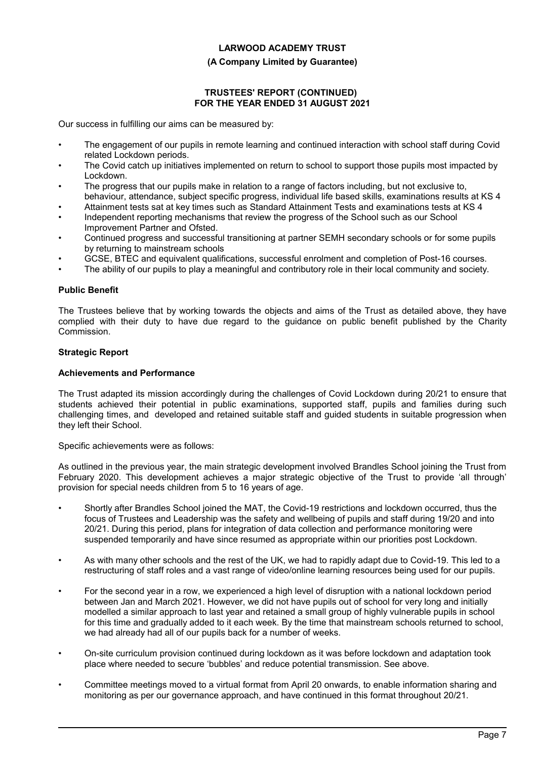### **(A Company Limited by Guarantee)**

### **TRUSTEES' REPORT (CONTINUED) FOR THE YEAR ENDED 31 AUGUST 2021**

Our success in fulfilling our aims can be measured by:

- The engagement of our pupils in remote learning and continued interaction with school staff during Covid related Lockdown periods.
- The Covid catch up initiatives implemented on return to school to support those pupils most impacted by Lockdown.
- The progress that our pupils make in relation to a range of factors including, but not exclusive to, behaviour, attendance, subject specific progress, individual life based skills, examinations results at KS 4
- Attainment tests sat at key times such as Standard Attainment Tests and examinations tests at KS 4
- Independent reporting mechanisms that review the progress of the School such as our School Improvement Partner and Ofsted.
- Continued progress and successful transitioning at partner SEMH secondary schools or for some pupils by returning to mainstream schools
- GCSE, BTEC and equivalent qualifications, successful enrolment and completion of Post-16 courses.
- The ability of our pupils to play a meaningful and contributory role in their local community and society.

### **Public Benefit**

The Trustees believe that by working towards the objects and aims of the Trust as detailed above, they have complied with their duty to have due regard to the guidance on public benefit published by the Charity Commission.

## **Strategic Report**

### **Achievements and Performance**

The Trust adapted its mission accordingly during the challenges of Covid Lockdown during 20/21 to ensure that students achieved their potential in public examinations, supported staff, pupils and families during such challenging times, and developed and retained suitable staff and guided students in suitable progression when they left their School.

Specific achievements were as follows:

As outlined in the previous year, the main strategic development involved Brandles School joining the Trust from February 2020. This development achieves a major strategic objective of the Trust to provide 'all through' provision for special needs children from 5 to 16 years of age.

- Shortly after Brandles School joined the MAT, the Covid-19 restrictions and lockdown occurred, thus the focus of Trustees and Leadership was the safety and wellbeing of pupils and staff during 19/20 and into 20/21. During this period, plans for integration of data collection and performance monitoring were suspended temporarily and have since resumed as appropriate within our priorities post Lockdown.
- As with many other schools and the rest of the UK, we had to rapidly adapt due to Covid-19. This led to a restructuring of staff roles and a vast range of video/online learning resources being used for our pupils.
- For the second year in a row, we experienced a high level of disruption with a national lockdown period between Jan and March 2021. However, we did not have pupils out of school for very long and initially modelled a similar approach to last year and retained a small group of highly vulnerable pupils in school for this time and gradually added to it each week. By the time that mainstream schools returned to school, we had already had all of our pupils back for a number of weeks.
- On-site curriculum provision continued during lockdown as it was before lockdown and adaptation took place where needed to secure 'bubbles' and reduce potential transmission. See above.
- Committee meetings moved to a virtual format from April 20 onwards, to enable information sharing and monitoring as per our governance approach, and have continued in this format throughout 20/21.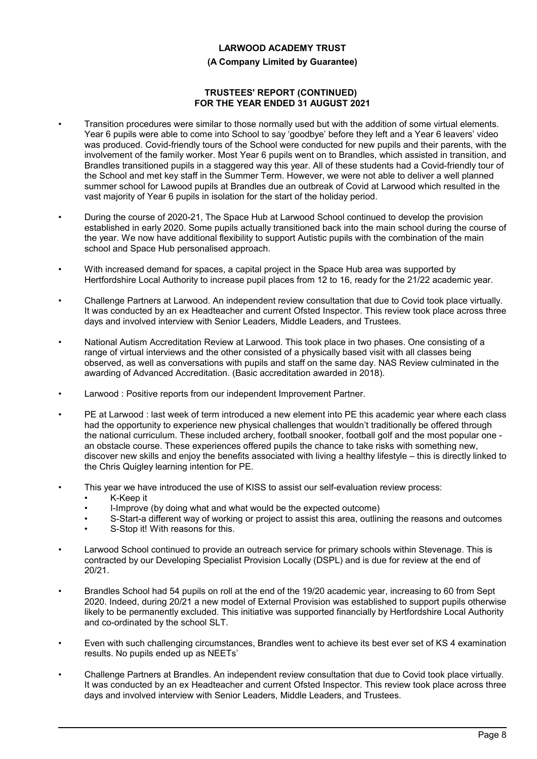#### **(A Company Limited by Guarantee)**

#### **TRUSTEES' REPORT (CONTINUED) FOR THE YEAR ENDED 31 AUGUST 2021**

- Transition procedures were similar to those normally used but with the addition of some virtual elements. Year 6 pupils were able to come into School to say 'goodbye' before they left and a Year 6 leavers' video was produced. Covid-friendly tours of the School were conducted for new pupils and their parents, with the involvement of the family worker. Most Year 6 pupils went on to Brandles, which assisted in transition, and Brandles transitioned pupils in a staggered way this year. All of these students had a Covid-friendly tour of the School and met key staff in the Summer Term. However, we were not able to deliver a well planned summer school for Lawood pupils at Brandles due an outbreak of Covid at Larwood which resulted in the vast majority of Year 6 pupils in isolation for the start of the holiday period.
- During the course of 2020-21, The Space Hub at Larwood School continued to develop the provision established in early 2020. Some pupils actually transitioned back into the main school during the course of the year. We now have additional flexibility to support Autistic pupils with the combination of the main school and Space Hub personalised approach.
- With increased demand for spaces, a capital project in the Space Hub area was supported by Hertfordshire Local Authority to increase pupil places from 12 to 16, ready for the 21/22 academic year.
- Challenge Partners at Larwood. An independent review consultation that due to Covid took place virtually. It was conducted by an ex Headteacher and current Ofsted Inspector. This review took place across three days and involved interview with Senior Leaders, Middle Leaders, and Trustees.
- National Autism Accreditation Review at Larwood. This took place in two phases. One consisting of a range of virtual interviews and the other consisted of a physically based visit with all classes being observed, as well as conversations with pupils and staff on the same day. NAS Review culminated in the awarding of Advanced Accreditation. (Basic accreditation awarded in 2018).
- Larwood : Positive reports from our independent Improvement Partner.
- PE at Larwood : last week of term introduced a new element into PE this academic year where each class had the opportunity to experience new physical challenges that wouldn't traditionally be offered through the national curriculum. These included archery, football snooker, football golf and the most popular one an obstacle course. These experiences offered pupils the chance to take risks with something new, discover new skills and enjoy the benefits associated with living a healthy lifestyle – this is directly linked to the Chris Quigley learning intention for PE.
- This year we have introduced the use of KISS to assist our self-evaluation review process:
	- K-Keep it
	- I-Improve (by doing what and what would be the expected outcome)
	- S-Start-a different way of working or project to assist this area, outlining the reasons and outcomes
	- S-Stop it! With reasons for this.
- Larwood School continued to provide an outreach service for primary schools within Stevenage. This is contracted by our Developing Specialist Provision Locally (DSPL) and is due for review at the end of 20/21.
- Brandles School had 54 pupils on roll at the end of the 19/20 academic year, increasing to 60 from Sept 2020. Indeed, during 20/21 a new model of External Provision was established to support pupils otherwise likely to be permanently excluded. This initiative was supported financially by Hertfordshire Local Authority and co-ordinated by the school SLT.
- Even with such challenging circumstances, Brandles went to achieve its best ever set of KS 4 examination results. No pupils ended up as NEETs'
- Challenge Partners at Brandles. An independent review consultation that due to Covid took place virtually. It was conducted by an ex Headteacher and current Ofsted Inspector. This review took place across three days and involved interview with Senior Leaders, Middle Leaders, and Trustees.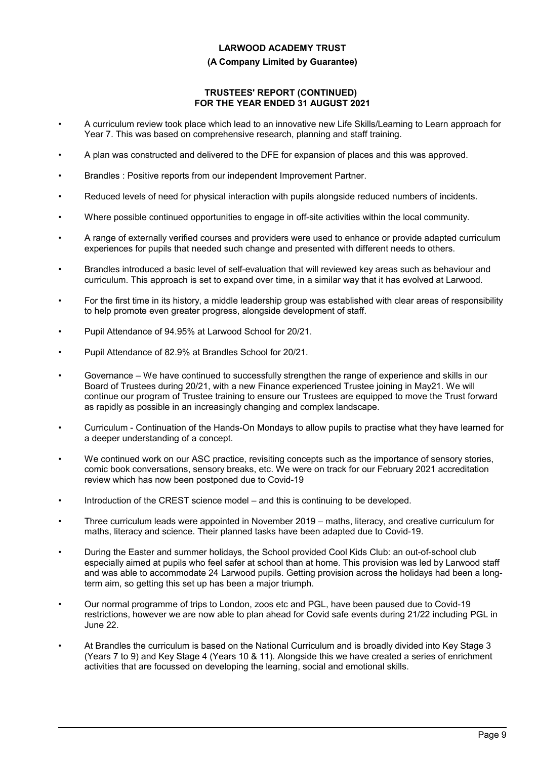## **(A Company Limited by Guarantee)**

### **TRUSTEES' REPORT (CONTINUED) FOR THE YEAR ENDED 31 AUGUST 2021**

- A curriculum review took place which lead to an innovative new Life Skills/Learning to Learn approach for Year 7. This was based on comprehensive research, planning and staff training.
- A plan was constructed and delivered to the DFE for expansion of places and this was approved.
- Brandles : Positive reports from our independent Improvement Partner.
- Reduced levels of need for physical interaction with pupils alongside reduced numbers of incidents.
- Where possible continued opportunities to engage in off-site activities within the local community.
- A range of externally verified courses and providers were used to enhance or provide adapted curriculum experiences for pupils that needed such change and presented with different needs to others.
- Brandles introduced a basic level of self-evaluation that will reviewed key areas such as behaviour and curriculum. This approach is set to expand over time, in a similar way that it has evolved at Larwood.
- For the first time in its history, a middle leadership group was established with clear areas of responsibility to help promote even greater progress, alongside development of staff.
- Pupil Attendance of 94.95% at Larwood School for 20/21.
- Pupil Attendance of 82.9% at Brandles School for 20/21.
- Governance We have continued to successfully strengthen the range of experience and skills in our Board of Trustees during 20/21, with a new Finance experienced Trustee joining in May21. We will continue our program of Trustee training to ensure our Trustees are equipped to move the Trust forward as rapidly as possible in an increasingly changing and complex landscape.
- Curriculum Continuation of the Hands-On Mondays to allow pupils to practise what they have learned for a deeper understanding of a concept.
- We continued work on our ASC practice, revisiting concepts such as the importance of sensory stories, comic book conversations, sensory breaks, etc. We were on track for our February 2021 accreditation review which has now been postponed due to Covid-19
- Introduction of the CREST science model and this is continuing to be developed.
- Three curriculum leads were appointed in November 2019 maths, literacy, and creative curriculum for maths, literacy and science. Their planned tasks have been adapted due to Covid-19.
- During the Easter and summer holidays, the School provided Cool Kids Club: an out-of-school club especially aimed at pupils who feel safer at school than at home. This provision was led by Larwood staff and was able to accommodate 24 Larwood pupils. Getting provision across the holidays had been a longterm aim, so getting this set up has been a major triumph.
- Our normal programme of trips to London, zoos etc and PGL, have been paused due to Covid-19 restrictions, however we are now able to plan ahead for Covid safe events during 21/22 including PGL in June 22.
- At Brandles the curriculum is based on the National Curriculum and is broadly divided into Key Stage 3 (Years 7 to 9) and Key Stage 4 (Years 10 & 11). Alongside this we have created a series of enrichment activities that are focussed on developing the learning, social and emotional skills.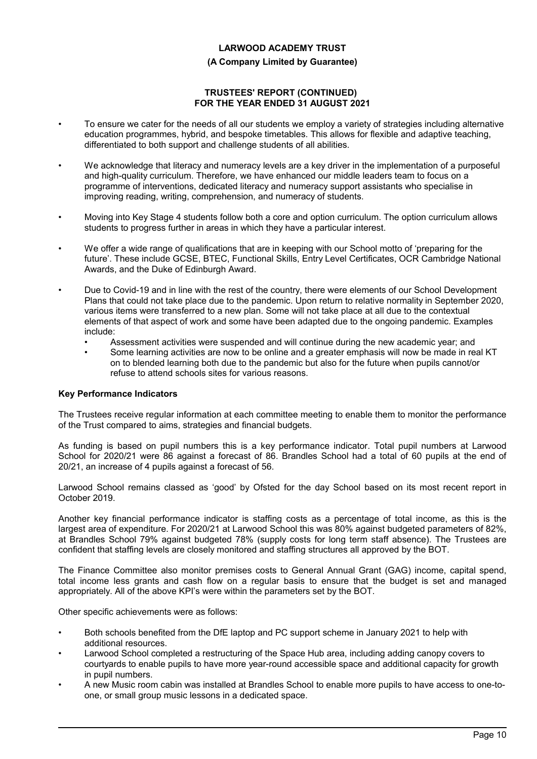### **(A Company Limited by Guarantee)**

### **TRUSTEES' REPORT (CONTINUED) FOR THE YEAR ENDED 31 AUGUST 2021**

- To ensure we cater for the needs of all our students we employ a variety of strategies including alternative education programmes, hybrid, and bespoke timetables. This allows for flexible and adaptive teaching, differentiated to both support and challenge students of all abilities.
- We acknowledge that literacy and numeracy levels are a key driver in the implementation of a purposeful and high-quality curriculum. Therefore, we have enhanced our middle leaders team to focus on a programme of interventions, dedicated literacy and numeracy support assistants who specialise in improving reading, writing, comprehension, and numeracy of students.
- Moving into Key Stage 4 students follow both a core and option curriculum. The option curriculum allows students to progress further in areas in which they have a particular interest.
- We offer a wide range of qualifications that are in keeping with our School motto of 'preparing for the future'. These include GCSE, BTEC, Functional Skills, Entry Level Certificates, OCR Cambridge National Awards, and the Duke of Edinburgh Award.
- Due to Covid-19 and in line with the rest of the country, there were elements of our School Development Plans that could not take place due to the pandemic. Upon return to relative normality in September 2020, various items were transferred to a new plan. Some will not take place at all due to the contextual elements of that aspect of work and some have been adapted due to the ongoing pandemic. Examples include:
	- Assessment activities were suspended and will continue during the new academic year; and
	- Some learning activities are now to be online and a greater emphasis will now be made in real KT on to blended learning both due to the pandemic but also for the future when pupils cannot/or refuse to attend schools sites for various reasons.

## **Key Performance Indicators**

The Trustees receive regular information at each committee meeting to enable them to monitor the performance of the Trust compared to aims, strategies and financial budgets.

As funding is based on pupil numbers this is a key performance indicator. Total pupil numbers at Larwood School for 2020/21 were 86 against a forecast of 86. Brandles School had a total of 60 pupils at the end of 20/21, an increase of 4 pupils against a forecast of 56.

Larwood School remains classed as 'good' by Ofsted for the day School based on its most recent report in October 2019.

Another key financial performance indicator is staffing costs as a percentage of total income, as this is the largest area of expenditure. For 2020/21 at Larwood School this was 80% against budgeted parameters of 82%, at Brandles School 79% against budgeted 78% (supply costs for long term staff absence). The Trustees are confident that staffing levels are closely monitored and staffing structures all approved by the BOT.

The Finance Committee also monitor premises costs to General Annual Grant (GAG) income, capital spend, total income less grants and cash flow on a regular basis to ensure that the budget is set and managed appropriately. All of the above KPI's were within the parameters set by the BOT.

Other specific achievements were as follows:

- Both schools benefited from the DfE laptop and PC support scheme in January 2021 to help with additional resources.
- Larwood School completed a restructuring of the Space Hub area, including adding canopy covers to courtyards to enable pupils to have more year-round accessible space and additional capacity for growth in pupil numbers.
- A new Music room cabin was installed at Brandles School to enable more pupils to have access to one-toone, or small group music lessons in a dedicated space.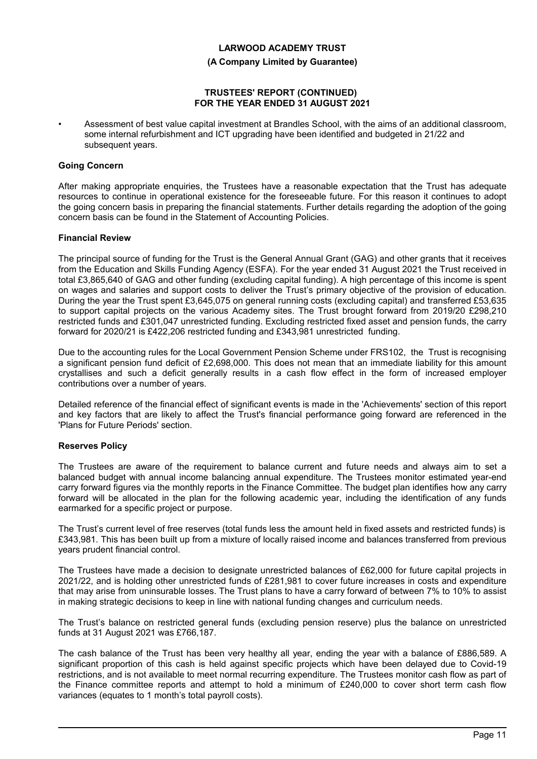#### **(A Company Limited by Guarantee)**

#### **TRUSTEES' REPORT (CONTINUED) FOR THE YEAR ENDED 31 AUGUST 2021**

• Assessment of best value capital investment at Brandles School, with the aims of an additional classroom, some internal refurbishment and ICT upgrading have been identified and budgeted in 21/22 and subsequent years.

## **Going Concern**

After making appropriate enquiries, the Trustees have a reasonable expectation that the Trust has adequate resources to continue in operational existence for the foreseeable future. For this reason it continues to adopt the going concern basis in preparing the financial statements. Further details regarding the adoption of the going concern basis can be found in the Statement of Accounting Policies.

## **Financial Review**

The principal source of funding for the Trust is the General Annual Grant (GAG) and other grants that it receives from the Education and Skills Funding Agency (ESFA). For the year ended 31 August 2021 the Trust received in total £3,865,640 of GAG and other funding (excluding capital funding). A high percentage of this income is spent on wages and salaries and support costs to deliver the Trust's primary objective of the provision of education. During the year the Trust spent £3,645,075 on general running costs (excluding capital) and transferred £53,635 to support capital projects on the various Academy sites. The Trust brought forward from 2019/20 £298,210 restricted funds and £301,047 unrestricted funding. Excluding restricted fixed asset and pension funds, the carry forward for 2020/21 is £422,206 restricted funding and £343,981 unrestricted funding.

Due to the accounting rules for the Local Government Pension Scheme under FRS102, the Trust is recognising a significant pension fund deficit of £2,698,000. This does not mean that an immediate liability for this amount crystallises and such a deficit generally results in a cash flow effect in the form of increased employer contributions over a number of years.

Detailed reference of the financial effect of significant events is made in the 'Achievements' section of this report and key factors that are likely to affect the Trust's financial performance going forward are referenced in the 'Plans for Future Periods' section.

## **Reserves Policy**

The Trustees are aware of the requirement to balance current and future needs and always aim to set a balanced budget with annual income balancing annual expenditure. The Trustees monitor estimated year-end carry forward figures via the monthly reports in the Finance Committee. The budget plan identifies how any carry forward will be allocated in the plan for the following academic year, including the identification of any funds earmarked for a specific project or purpose.

The Trust's current level of free reserves (total funds less the amount held in fixed assets and restricted funds) is £343,981. This has been built up from a mixture of locally raised income and balances transferred from previous years prudent financial control.

The Trustees have made a decision to designate unrestricted balances of £62,000 for future capital projects in 2021/22, and is holding other unrestricted funds of £281,981 to cover future increases in costs and expenditure that may arise from uninsurable losses. The Trust plans to have a carry forward of between 7% to 10% to assist in making strategic decisions to keep in line with national funding changes and curriculum needs.

The Trust's balance on restricted general funds (excluding pension reserve) plus the balance on unrestricted funds at 31 August 2021 was £766,187.

The cash balance of the Trust has been very healthy all year, ending the year with a balance of £886,589. A significant proportion of this cash is held against specific projects which have been delayed due to Covid-19 restrictions, and is not available to meet normal recurring expenditure. The Trustees monitor cash flow as part of the Finance committee reports and attempt to hold a minimum of £240,000 to cover short term cash flow variances (equates to 1 month's total payroll costs).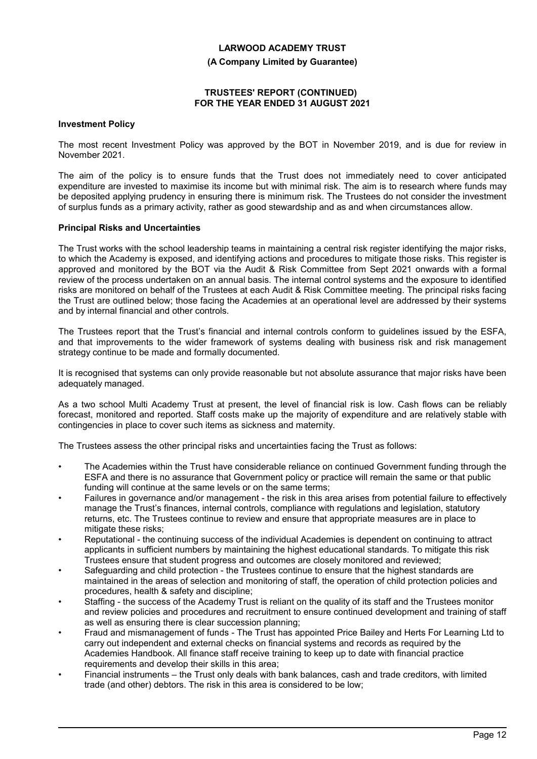**(A Company Limited by Guarantee)**

### **TRUSTEES' REPORT (CONTINUED) FOR THE YEAR ENDED 31 AUGUST 2021**

#### **Investment Policy**

The most recent Investment Policy was approved by the BOT in November 2019, and is due for review in November 2021.

The aim of the policy is to ensure funds that the Trust does not immediately need to cover anticipated expenditure are invested to maximise its income but with minimal risk. The aim is to research where funds may be deposited applying prudency in ensuring there is minimum risk. The Trustees do not consider the investment of surplus funds as a primary activity, rather as good stewardship and as and when circumstances allow.

### **Principal Risks and Uncertainties**

The Trust works with the school leadership teams in maintaining a central risk register identifying the major risks, to which the Academy is exposed, and identifying actions and procedures to mitigate those risks. This register is approved and monitored by the BOT via the Audit & Risk Committee from Sept 2021 onwards with a formal review of the process undertaken on an annual basis. The internal control systems and the exposure to identified risks are monitored on behalf of the Trustees at each Audit & Risk Committee meeting. The principal risks facing the Trust are outlined below; those facing the Academies at an operational level are addressed by their systems and by internal financial and other controls.

The Trustees report that the Trust's financial and internal controls conform to guidelines issued by the ESFA, and that improvements to the wider framework of systems dealing with business risk and risk management strategy continue to be made and formally documented.

It is recognised that systems can only provide reasonable but not absolute assurance that major risks have been adequately managed.

As a two school Multi Academy Trust at present, the level of financial risk is low. Cash flows can be reliably forecast, monitored and reported. Staff costs make up the majority of expenditure and are relatively stable with contingencies in place to cover such items as sickness and maternity.

The Trustees assess the other principal risks and uncertainties facing the Trust as follows:

- The Academies within the Trust have considerable reliance on continued Government funding through the ESFA and there is no assurance that Government policy or practice will remain the same or that public funding will continue at the same levels or on the same terms;
- Failures in governance and/or management the risk in this area arises from potential failure to effectively manage the Trust's finances, internal controls, compliance with regulations and legislation, statutory returns, etc. The Trustees continue to review and ensure that appropriate measures are in place to mitigate these risks;
- Reputational the continuing success of the individual Academies is dependent on continuing to attract applicants in sufficient numbers by maintaining the highest educational standards. To mitigate this risk Trustees ensure that student progress and outcomes are closely monitored and reviewed;
- Safeguarding and child protection the Trustees continue to ensure that the highest standards are maintained in the areas of selection and monitoring of staff, the operation of child protection policies and procedures, health & safety and discipline;
- Staffing the success of the Academy Trust is reliant on the quality of its staff and the Trustees monitor and review policies and procedures and recruitment to ensure continued development and training of staff as well as ensuring there is clear succession planning;
- Fraud and mismanagement of funds The Trust has appointed Price Bailey and Herts For Learning Ltd to carry out independent and external checks on financial systems and records as required by the Academies Handbook. All finance staff receive training to keep up to date with financial practice requirements and develop their skills in this area;
- Financial instruments the Trust only deals with bank balances, cash and trade creditors, with limited trade (and other) debtors. The risk in this area is considered to be low;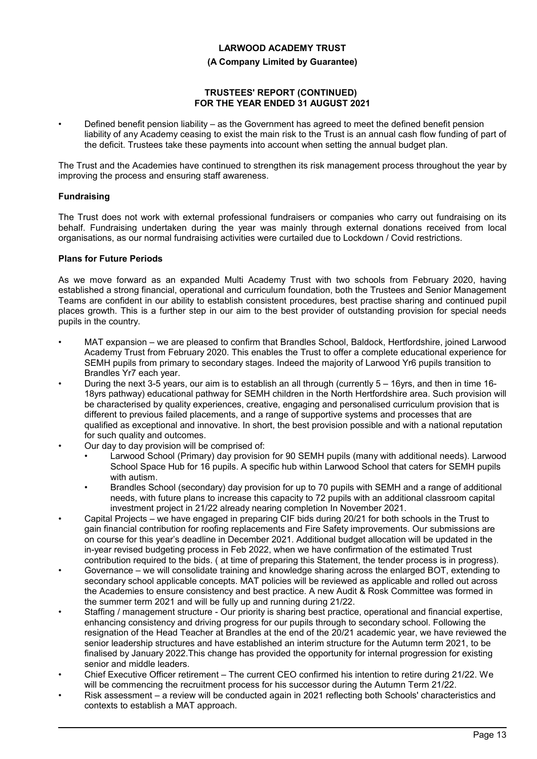### **(A Company Limited by Guarantee)**

### **TRUSTEES' REPORT (CONTINUED) FOR THE YEAR ENDED 31 AUGUST 2021**

• Defined benefit pension liability – as the Government has agreed to meet the defined benefit pension liability of any Academy ceasing to exist the main risk to the Trust is an annual cash flow funding of part of the deficit. Trustees take these payments into account when setting the annual budget plan.

The Trust and the Academies have continued to strengthen its risk management process throughout the year by improving the process and ensuring staff awareness.

# **Fundraising**

The Trust does not work with external professional fundraisers or companies who carry out fundraising on its behalf. Fundraising undertaken during the year was mainly through external donations received from local organisations, as our normal fundraising activities were curtailed due to Lockdown / Covid restrictions.

## **Plans for Future Periods**

As we move forward as an expanded Multi Academy Trust with two schools from February 2020, having established a strong financial, operational and curriculum foundation, both the Trustees and Senior Management Teams are confident in our ability to establish consistent procedures, best practise sharing and continued pupil places growth. This is a further step in our aim to the best provider of outstanding provision for special needs pupils in the country.

- MAT expansion we are pleased to confirm that Brandles School, Baldock, Hertfordshire, joined Larwood Academy Trust from February 2020. This enables the Trust to offer a complete educational experience for SEMH pupils from primary to secondary stages. Indeed the majority of Larwood Yr6 pupils transition to Brandles Yr7 each year.
- During the next 3-5 years, our aim is to establish an all through (currently 5 16yrs, and then in time 16- 18yrs pathway) educational pathway for SEMH children in the North Hertfordshire area. Such provision will be characterised by quality experiences, creative, engaging and personalised curriculum provision that is different to previous failed placements, and a range of supportive systems and processes that are qualified as exceptional and innovative. In short, the best provision possible and with a national reputation for such quality and outcomes.
- Our day to day provision will be comprised of:
	- Larwood School (Primary) day provision for 90 SEMH pupils (many with additional needs). Larwood School Space Hub for 16 pupils. A specific hub within Larwood School that caters for SEMH pupils with autism.
	- Brandles School (secondary) day provision for up to 70 pupils with SEMH and a range of additional needs, with future plans to increase this capacity to 72 pupils with an additional classroom capital investment project in 21/22 already nearing completion In November 2021.
- Capital Projects we have engaged in preparing CIF bids during 20/21 for both schools in the Trust to gain financial contribution for roofing replacements and Fire Safety improvements. Our submissions are on course for this year's deadline in December 2021. Additional budget allocation will be updated in the in-year revised budgeting process in Feb 2022, when we have confirmation of the estimated Trust contribution required to the bids. ( at time of preparing this Statement, the tender process is in progress).
- Governance we will consolidate training and knowledge sharing across the enlarged BOT, extending to secondary school applicable concepts. MAT policies will be reviewed as applicable and rolled out across the Academies to ensure consistency and best practice. A new Audit & Rosk Committee was formed in the summer term 2021 and will be fully up and running during 21/22.
- Staffing / management structure Our priority is sharing best practice, operational and financial expertise, enhancing consistency and driving progress for our pupils through to secondary school. Following the resignation of the Head Teacher at Brandles at the end of the 20/21 academic year, we have reviewed the senior leadership structures and have established an interim structure for the Autumn term 2021, to be finalised by January 2022.This change has provided the opportunity for internal progression for existing senior and middle leaders.
- Chief Executive Officer retirement The current CEO confirmed his intention to retire during 21/22. We will be commencing the recruitment process for his successor during the Autumn Term 21/22.
- Risk assessment a review will be conducted again in 2021 reflecting both Schools' characteristics and contexts to establish a MAT approach.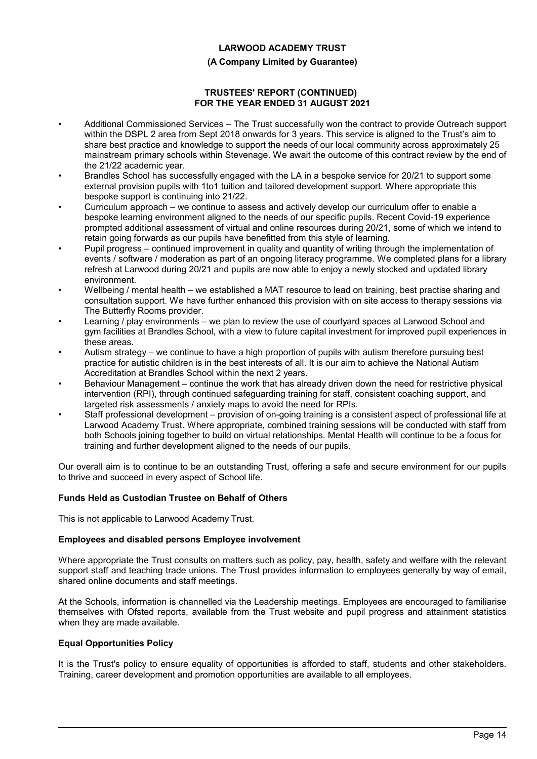### **(A Company Limited by Guarantee)**

#### **TRUSTEES' REPORT (CONTINUED) FOR THE YEAR ENDED 31 AUGUST 2021**

- Additional Commissioned Services The Trust successfully won the contract to provide Outreach support within the DSPL 2 area from Sept 2018 onwards for 3 years. This service is aligned to the Trust's aim to share best practice and knowledge to support the needs of our local community across approximately 25 mainstream primary schools within Stevenage. We await the outcome of this contract review by the end of the 21/22 academic year.
- Brandles School has successfully engaged with the LA in a bespoke service for 20/21 to support some external provision pupils with 1to1 tuition and tailored development support. Where appropriate this bespoke support is continuing into 21/22.
- Curriculum approach we continue to assess and actively develop our curriculum offer to enable a bespoke learning environment aligned to the needs of our specific pupils. Recent Covid-19 experience prompted additional assessment of virtual and online resources during 20/21, some of which we intend to retain going forwards as our pupils have benefitted from this style of learning.
- Pupil progress continued improvement in quality and quantity of writing through the implementation of events / software / moderation as part of an ongoing literacy programme. We completed plans for a library refresh at Larwood during 20/21 and pupils are now able to enjoy a newly stocked and updated library environment.
- Wellbeing / mental health we established a MAT resource to lead on training, best practise sharing and consultation support. We have further enhanced this provision with on site access to therapy sessions via The Butterfly Rooms provider.
- Learning / play environments we plan to review the use of courtyard spaces at Larwood School and gym facilities at Brandles School, with a view to future capital investment for improved pupil experiences in these areas.
- Autism strategy we continue to have a high proportion of pupils with autism therefore pursuing best practice for autistic children is in the best interests of all. It is our aim to achieve the National Autism Accreditation at Brandles School within the next 2 years.
- Behaviour Management continue the work that has already driven down the need for restrictive physical intervention (RPI), through continued safeguarding training for staff, consistent coaching support, and targeted risk assessments / anxiety maps to avoid the need for RPIs.
- Staff professional development provision of on-going training is a consistent aspect of professional life at Larwood Academy Trust. Where appropriate, combined training sessions will be conducted with staff from both Schools joining together to build on virtual relationships. Mental Health will continue to be a focus for training and further development aligned to the needs of our pupils.

Our overall aim is to continue to be an outstanding Trust, offering a safe and secure environment for our pupils to thrive and succeed in every aspect of School life.

## **Funds Held as Custodian Trustee on Behalf of Others**

This is not applicable to Larwood Academy Trust.

## **Employees and disabled persons Employee involvement**

Where appropriate the Trust consults on matters such as policy, pay, health, safety and welfare with the relevant support staff and teaching trade unions. The Trust provides information to employees generally by way of email, shared online documents and staff meetings.

At the Schools, information is channelled via the Leadership meetings. Employees are encouraged to familiarise themselves with Ofsted reports, available from the Trust website and pupil progress and attainment statistics when they are made available.

## **Equal Opportunities Policy**

It is the Trust's policy to ensure equality of opportunities is afforded to staff, students and other stakeholders. Training, career development and promotion opportunities are available to all employees.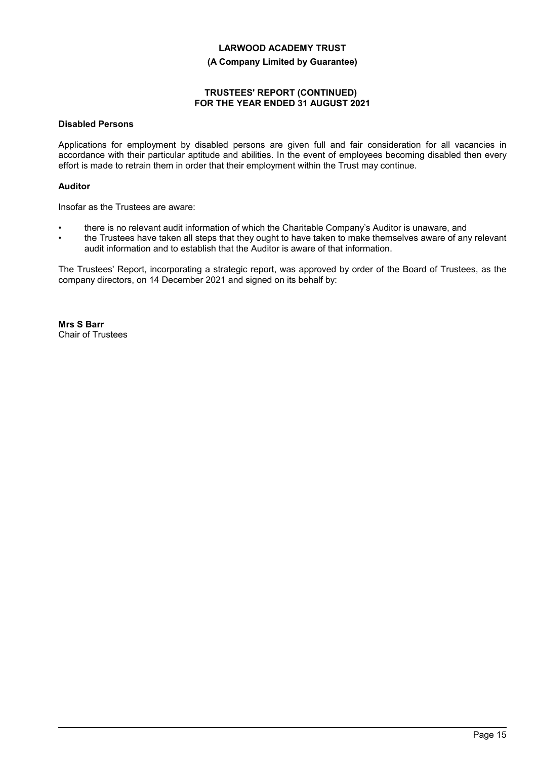### **(A Company Limited by Guarantee)**

### **TRUSTEES' REPORT (CONTINUED) FOR THE YEAR ENDED 31 AUGUST 2021**

## **Disabled Persons**

Applications for employment by disabled persons are given full and fair consideration for all vacancies in accordance with their particular aptitude and abilities. In the event of employees becoming disabled then every effort is made to retrain them in order that their employment within the Trust may continue.

### **Auditor**

Insofar as the Trustees are aware:

- there is no relevant audit information of which the Charitable Company's Auditor is unaware, and
- the Trustees have taken all steps that they ought to have taken to make themselves aware of any relevant audit information and to establish that the Auditor is aware of that information.

The Trustees' Report, incorporating a strategic report, was approved by order of the Board of Trustees, as the company directors, on 14 December 2021 and signed on its behalf by:

**Mrs S Barr** Chair of Trustees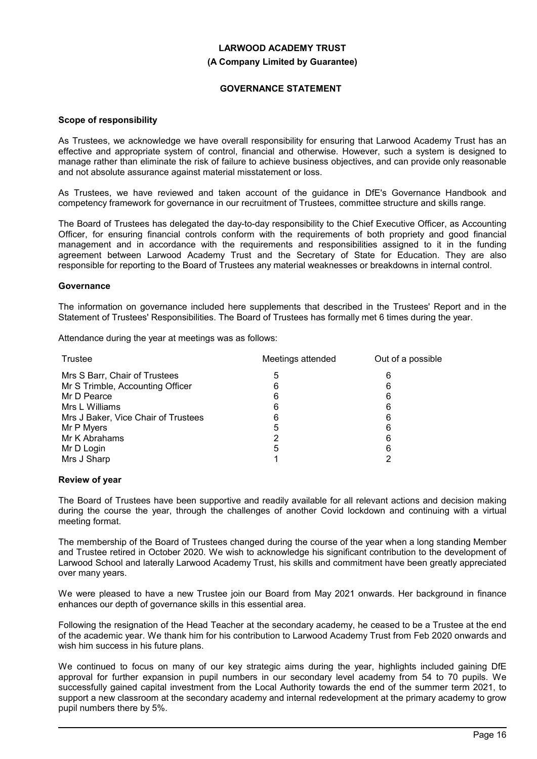#### **(A Company Limited by Guarantee)**

### **GOVERNANCE STATEMENT**

#### **Scope of responsibility**

As Trustees, we acknowledge we have overall responsibility for ensuring that Larwood Academy Trust has an effective and appropriate system of control, financial and otherwise. However, such a system is designed to manage rather than eliminate the risk of failure to achieve business objectives, and can provide only reasonable and not absolute assurance against material misstatement or loss.

As Trustees, we have reviewed and taken account of the guidance in DfE's Governance Handbook and competency framework for governance in our recruitment of Trustees, committee structure and skills range.

The Board of Trustees has delegated the day-to-day responsibility to the Chief Executive Officer, as Accounting Officer, for ensuring financial controls conform with the requirements of both propriety and good financial management and in accordance with the requirements and responsibilities assigned to it in the funding agreement between Larwood Academy Trust and the Secretary of State for Education. They are also responsible for reporting to the Board of Trustees any material weaknesses or breakdowns in internal control.

#### **Governance**

The information on governance included here supplements that described in the Trustees' Report and in the Statement of Trustees' Responsibilities. The Board of Trustees has formally met 6 times during the year.

Attendance during the year at meetings was as follows:

| Trustee                             | Meetings attended | Out of a possible |
|-------------------------------------|-------------------|-------------------|
| Mrs S Barr, Chair of Trustees       | 5                 | 6                 |
| Mr S Trimble, Accounting Officer    | 6                 | 6                 |
| Mr D Pearce                         | 6                 | 6                 |
| Mrs L Williams                      | 6                 | 6                 |
| Mrs J Baker, Vice Chair of Trustees | 6                 | 6                 |
| Mr P Myers                          | 5                 | 6                 |
| Mr K Abrahams                       | 2                 | 6                 |
| Mr D Login                          | 5                 | 6                 |
| Mrs J Sharp                         |                   |                   |

#### **Review of year**

The Board of Trustees have been supportive and readily available for all relevant actions and decision making during the course the year, through the challenges of another Covid lockdown and continuing with a virtual meeting format.

The membership of the Board of Trustees changed during the course of the year when a long standing Member and Trustee retired in October 2020. We wish to acknowledge his significant contribution to the development of Larwood School and laterally Larwood Academy Trust, his skills and commitment have been greatly appreciated over many years.

We were pleased to have a new Trustee join our Board from May 2021 onwards. Her background in finance enhances our depth of governance skills in this essential area.

Following the resignation of the Head Teacher at the secondary academy, he ceased to be a Trustee at the end of the academic year. We thank him for his contribution to Larwood Academy Trust from Feb 2020 onwards and wish him success in his future plans.

We continued to focus on many of our key strategic aims during the year, highlights included gaining DfE approval for further expansion in pupil numbers in our secondary level academy from 54 to 70 pupils. We successfully gained capital investment from the Local Authority towards the end of the summer term 2021, to support a new classroom at the secondary academy and internal redevelopment at the primary academy to grow pupil numbers there by 5%.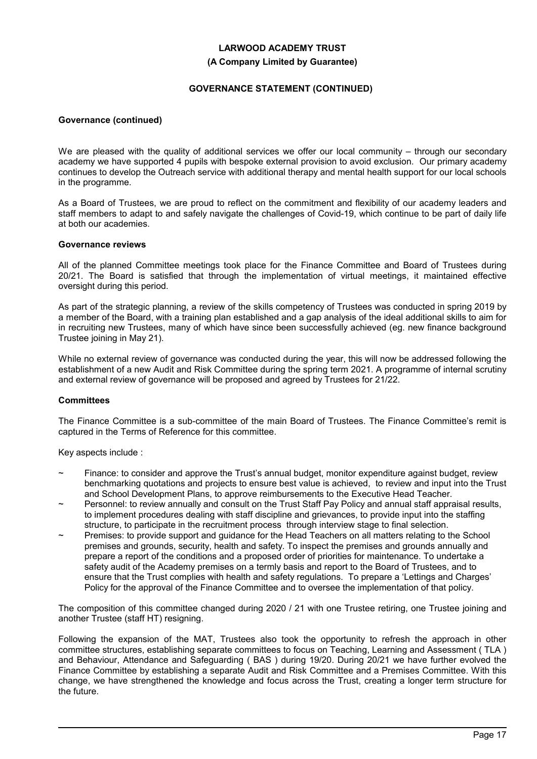#### **(A Company Limited by Guarantee)**

### **GOVERNANCE STATEMENT (CONTINUED)**

#### **Governance (continued)**

We are pleased with the quality of additional services we offer our local community – through our secondary academy we have supported 4 pupils with bespoke external provision to avoid exclusion. Our primary academy continues to develop the Outreach service with additional therapy and mental health support for our local schools in the programme.

As a Board of Trustees, we are proud to reflect on the commitment and flexibility of our academy leaders and staff members to adapt to and safely navigate the challenges of Covid-19, which continue to be part of daily life at both our academies.

#### **Governance reviews**

All of the planned Committee meetings took place for the Finance Committee and Board of Trustees during 20/21. The Board is satisfied that through the implementation of virtual meetings, it maintained effective oversight during this period.

As part of the strategic planning, a review of the skills competency of Trustees was conducted in spring 2019 by a member of the Board, with a training plan established and a gap analysis of the ideal additional skills to aim for in recruiting new Trustees, many of which have since been successfully achieved (eg. new finance background Trustee joining in May 21).

While no external review of governance was conducted during the year, this will now be addressed following the establishment of a new Audit and Risk Committee during the spring term 2021. A programme of internal scrutiny and external review of governance will be proposed and agreed by Trustees for 21/22.

### **Committees**

The Finance Committee is a sub-committee of the main Board of Trustees. The Finance Committee's remit is captured in the Terms of Reference for this committee.

Key aspects include :

- Finance: to consider and approve the Trust's annual budget, monitor expenditure against budget, review benchmarking quotations and projects to ensure best value is achieved, to review and input into the Trust and School Development Plans, to approve reimbursements to the Executive Head Teacher.
- Personnel: to review annually and consult on the Trust Staff Pay Policy and annual staff appraisal results, to implement procedures dealing with staff discipline and grievances, to provide input into the staffing structure, to participate in the recruitment process through interview stage to final selection.
- Premises: to provide support and quidance for the Head Teachers on all matters relating to the School premises and grounds, security, health and safety. To inspect the premises and grounds annually and prepare a report of the conditions and a proposed order of priorities for maintenance. To undertake a safety audit of the Academy premises on a termly basis and report to the Board of Trustees, and to ensure that the Trust complies with health and safety regulations. To prepare a 'Lettings and Charges' Policy for the approval of the Finance Committee and to oversee the implementation of that policy.

The composition of this committee changed during 2020 / 21 with one Trustee retiring, one Trustee joining and another Trustee (staff HT) resigning.

Following the expansion of the MAT, Trustees also took the opportunity to refresh the approach in other committee structures, establishing separate committees to focus on Teaching, Learning and Assessment ( TLA ) and Behaviour, Attendance and Safeguarding ( BAS ) during 19/20. During 20/21 we have further evolved the Finance Committee by establishing a separate Audit and Risk Committee and a Premises Committee. With this change, we have strengthened the knowledge and focus across the Trust, creating a longer term structure for the future.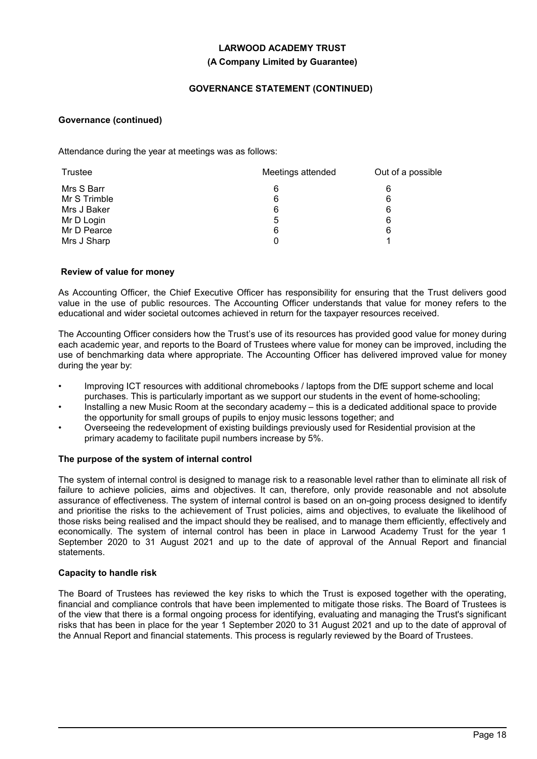## **(A Company Limited by Guarantee)**

# **GOVERNANCE STATEMENT (CONTINUED)**

# **Governance (continued)**

Attendance during the year at meetings was as follows:

| Trustee      | Meetings attended | Out of a possible |
|--------------|-------------------|-------------------|
| Mrs S Barr   | 6                 | 6                 |
| Mr S Trimble | 6                 | 6                 |
| Mrs J Baker  | 6                 | 6                 |
| Mr D Login   | 5                 | 6                 |
| Mr D Pearce  | 6                 | 6                 |
| Mrs J Sharp  |                   |                   |

## **Review of value for money**

As Accounting Officer, the Chief Executive Officer has responsibility for ensuring that the Trust delivers good value in the use of public resources. The Accounting Officer understands that value for money refers to the educational and wider societal outcomes achieved in return for the taxpayer resources received.

The Accounting Officer considers how the Trust's use of its resources has provided good value for money during each academic year, and reports to the Board of Trustees where value for money can be improved, including the use of benchmarking data where appropriate. The Accounting Officer has delivered improved value for money during the year by:

- Improving ICT resources with additional chromebooks / laptops from the DfE support scheme and local purchases. This is particularly important as we support our students in the event of home-schooling;
- Installing a new Music Room at the secondary academy this is a dedicated additional space to provide the opportunity for small groups of pupils to enjoy music lessons together; and
- Overseeing the redevelopment of existing buildings previously used for Residential provision at the primary academy to facilitate pupil numbers increase by 5%.

## **The purpose of the system of internal control**

The system of internal control is designed to manage risk to a reasonable level rather than to eliminate all risk of failure to achieve policies, aims and objectives. It can, therefore, only provide reasonable and not absolute assurance of effectiveness. The system of internal control is based on an on-going process designed to identify and prioritise the risks to the achievement of Trust policies, aims and objectives, to evaluate the likelihood of those risks being realised and the impact should they be realised, and to manage them efficiently, effectively and economically. The system of internal control has been in place in Larwood Academy Trust for the year 1 September 2020 to 31 August 2021 and up to the date of approval of the Annual Report and financial statements.

## **Capacity to handle risk**

The Board of Trustees has reviewed the key risks to which the Trust is exposed together with the operating, financial and compliance controls that have been implemented to mitigate those risks. The Board of Trustees is of the view that there is a formal ongoing process for identifying, evaluating and managing the Trust's significant risks that has been in place for the year 1 September 2020 to 31 August 2021 and up to the date of approval of the Annual Report and financial statements. This process is regularly reviewed by the Board of Trustees.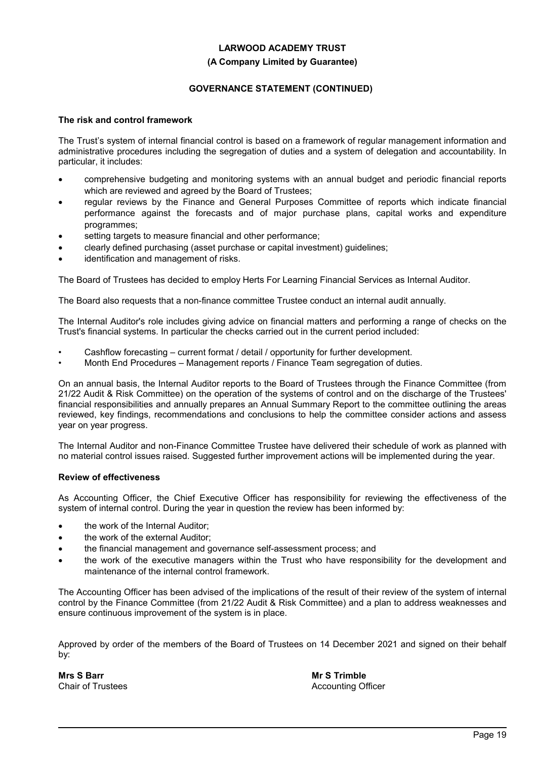### **(A Company Limited by Guarantee)**

# **GOVERNANCE STATEMENT (CONTINUED)**

### **The risk and control framework**

The Trust's system of internal financial control is based on a framework of regular management information and administrative procedures including the segregation of duties and a system of delegation and accountability. In particular, it includes:

- comprehensive budgeting and monitoring systems with an annual budget and periodic financial reports which are reviewed and agreed by the Board of Trustees;
- regular reviews by the Finance and General Purposes Committee of reports which indicate financial performance against the forecasts and of major purchase plans, capital works and expenditure programmes;
- setting targets to measure financial and other performance;
- clearly defined purchasing (asset purchase or capital investment) guidelines;
- identification and management of risks.

The Board of Trustees has decided to employ Herts For Learning Financial Services as Internal Auditor.

The Board also requests that a non-finance committee Trustee conduct an internal audit annually.

The Internal Auditor's role includes giving advice on financial matters and performing a range of checks on the Trust's financial systems. In particular the checks carried out in the current period included:

- Cashflow forecasting current format / detail / opportunity for further development.
- Month End Procedures Management reports / Finance Team segregation of duties.

On an annual basis, the Internal Auditor reports to the Board of Trustees through the Finance Committee (from 21/22 Audit & Risk Committee) on the operation of the systems of control and on the discharge of the Trustees' financial responsibilities and annually prepares an Annual Summary Report to the committee outlining the areas reviewed, key findings, recommendations and conclusions to help the committee consider actions and assess year on year progress.

The Internal Auditor and non-Finance Committee Trustee have delivered their schedule of work as planned with no material control issues raised. Suggested further improvement actions will be implemented during the year.

## **Review of effectiveness**

As Accounting Officer, the Chief Executive Officer has responsibility for reviewing the effectiveness of the system of internal control. During the year in question the review has been informed by:

- the work of the Internal Auditor;
- the work of the external Auditor;
- the financial management and governance self-assessment process; and
- the work of the executive managers within the Trust who have responsibility for the development and maintenance of the internal control framework.

The Accounting Officer has been advised of the implications of the result of their review of the system of internal control by the Finance Committee (from 21/22 Audit & Risk Committee) and a plan to address weaknesses and ensure continuous improvement of the system is in place.

Approved by order of the members of the Board of Trustees on 14 December 2021 and signed on their behalf by:

**Mrs S Barr** Chair of Trustees **Mr S Trimble** Accounting Officer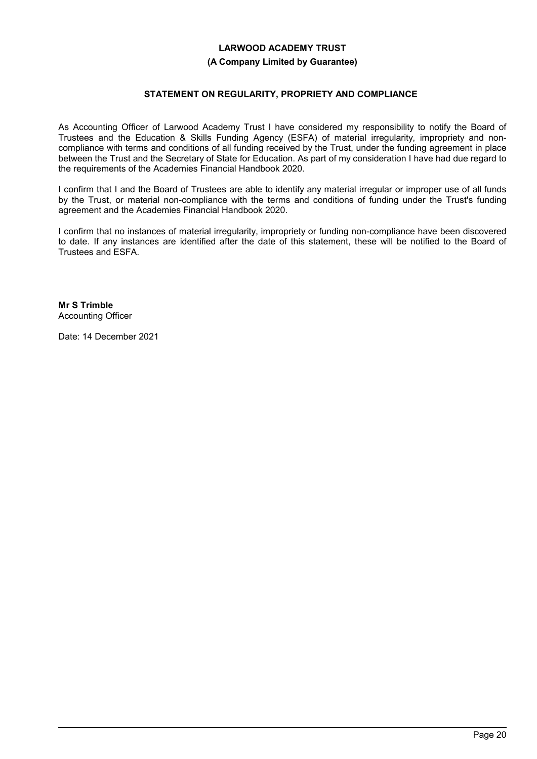## **(A Company Limited by Guarantee)**

## **STATEMENT ON REGULARITY, PROPRIETY AND COMPLIANCE**

As Accounting Officer of Larwood Academy Trust I have considered my responsibility to notify the Board of Trustees and the Education & Skills Funding Agency (ESFA) of material irregularity, impropriety and noncompliance with terms and conditions of all funding received by the Trust, under the funding agreement in place between the Trust and the Secretary of State for Education. As part of my consideration I have had due regard to the requirements of the Academies Financial Handbook 2020.

I confirm that I and the Board of Trustees are able to identify any material irregular or improper use of all funds by the Trust, or material non-compliance with the terms and conditions of funding under the Trust's funding agreement and the Academies Financial Handbook 2020.

I confirm that no instances of material irregularity, impropriety or funding non-compliance have been discovered to date. If any instances are identified after the date of this statement, these will be notified to the Board of Trustees and ESFA.

**Mr S Trimble** Accounting Officer

Date: 14 December 2021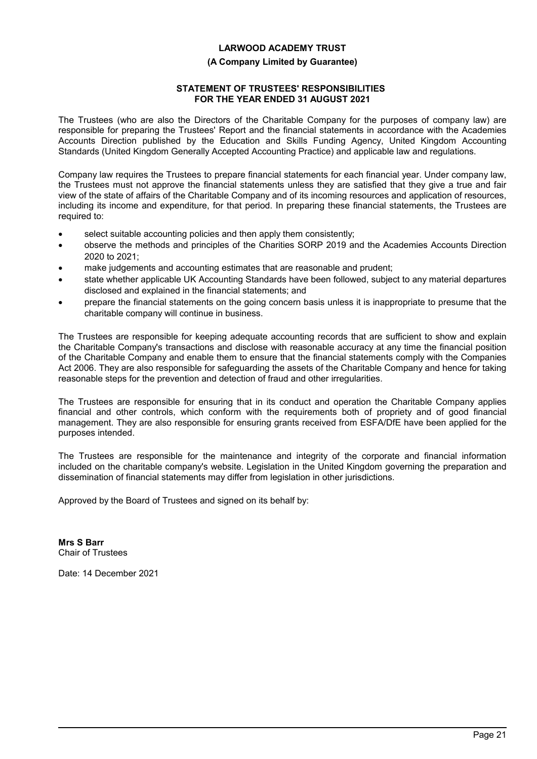## **(A Company Limited by Guarantee)**

# **STATEMENT OF TRUSTEES' RESPONSIBILITIES FOR THE YEAR ENDED 31 AUGUST 2021**

The Trustees (who are also the Directors of the Charitable Company for the purposes of company law) are responsible for preparing the Trustees' Report and the financial statements in accordance with the Academies Accounts Direction published by the Education and Skills Funding Agency, United Kingdom Accounting Standards (United Kingdom Generally Accepted Accounting Practice) and applicable law and regulations.

Company law requires the Trustees to prepare financial statements for each financial year. Under company law, the Trustees must not approve the financial statements unless they are satisfied that they give a true and fair view of the state of affairs of the Charitable Company and of its incoming resources and application of resources, including its income and expenditure, for that period. In preparing these financial statements, the Trustees are required to:

- select suitable accounting policies and then apply them consistently;
- observe the methods and principles of the Charities SORP 2019 and the Academies Accounts Direction 2020 to 2021;
- make judgements and accounting estimates that are reasonable and prudent;
- state whether applicable UK Accounting Standards have been followed, subject to any material departures disclosed and explained in the financial statements; and
- prepare the financial statements on the going concern basis unless it is inappropriate to presume that the charitable company will continue in business.

The Trustees are responsible for keeping adequate accounting records that are sufficient to show and explain the Charitable Company's transactions and disclose with reasonable accuracy at any time the financial position of the Charitable Company and enable them to ensure that the financial statements comply with the Companies Act 2006. They are also responsible for safeguarding the assets of the Charitable Company and hence for taking reasonable steps for the prevention and detection of fraud and other irregularities.

The Trustees are responsible for ensuring that in its conduct and operation the Charitable Company applies financial and other controls, which conform with the requirements both of propriety and of good financial management. They are also responsible for ensuring grants received from ESFA/DfE have been applied for the purposes intended.

The Trustees are responsible for the maintenance and integrity of the corporate and financial information included on the charitable company's website. Legislation in the United Kingdom governing the preparation and dissemination of financial statements may differ from legislation in other jurisdictions.

Approved by the Board of Trustees and signed on its behalf by:

**Mrs S Barr** Chair of Trustees

Date: 14 December 2021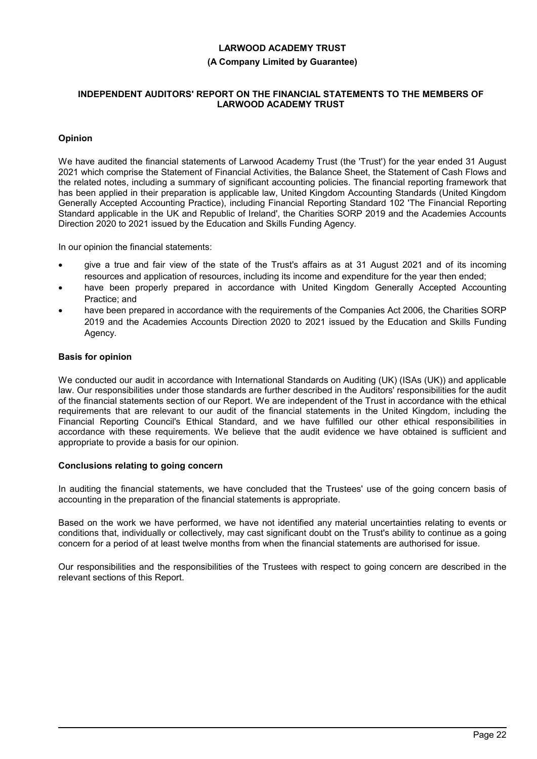### **(A Company Limited by Guarantee)**

### **INDEPENDENT AUDITORS' REPORT ON THE FINANCIAL STATEMENTS TO THE MEMBERS OF LARWOOD ACADEMY TRUST**

# **Opinion**

We have audited the financial statements of Larwood Academy Trust (the 'Trust') for the year ended 31 August 2021 which comprise the Statement of Financial Activities, the Balance Sheet, the Statement of Cash Flows and the related notes, including a summary of significant accounting policies. The financial reporting framework that has been applied in their preparation is applicable law, United Kingdom Accounting Standards (United Kingdom Generally Accepted Accounting Practice), including Financial Reporting Standard 102 'The Financial Reporting Standard applicable in the UK and Republic of Ireland', the Charities SORP 2019 and the Academies Accounts Direction 2020 to 2021 issued by the Education and Skills Funding Agency.

In our opinion the financial statements:

- give a true and fair view of the state of the Trust's affairs as at 31 August 2021 and of its incoming resources and application of resources, including its income and expenditure for the year then ended;
- have been properly prepared in accordance with United Kingdom Generally Accepted Accounting Practice; and
- have been prepared in accordance with the requirements of the Companies Act 2006, the Charities SORP 2019 and the Academies Accounts Direction 2020 to 2021 issued by the Education and Skills Funding Agency.

## **Basis for opinion**

We conducted our audit in accordance with International Standards on Auditing (UK) (ISAs (UK)) and applicable law. Our responsibilities under those standards are further described in the Auditors' responsibilities for the audit of the financial statements section of our Report. We are independent of the Trust in accordance with the ethical requirements that are relevant to our audit of the financial statements in the United Kingdom, including the Financial Reporting Council's Ethical Standard, and we have fulfilled our other ethical responsibilities in accordance with these requirements. We believe that the audit evidence we have obtained is sufficient and appropriate to provide a basis for our opinion.

## **Conclusions relating to going concern**

In auditing the financial statements, we have concluded that the Trustees' use of the going concern basis of accounting in the preparation of the financial statements is appropriate.

Based on the work we have performed, we have not identified any material uncertainties relating to events or conditions that, individually or collectively, may cast significant doubt on the Trust's ability to continue as a going concern for a period of at least twelve months from when the financial statements are authorised for issue.

Our responsibilities and the responsibilities of the Trustees with respect to going concern are described in the relevant sections of this Report.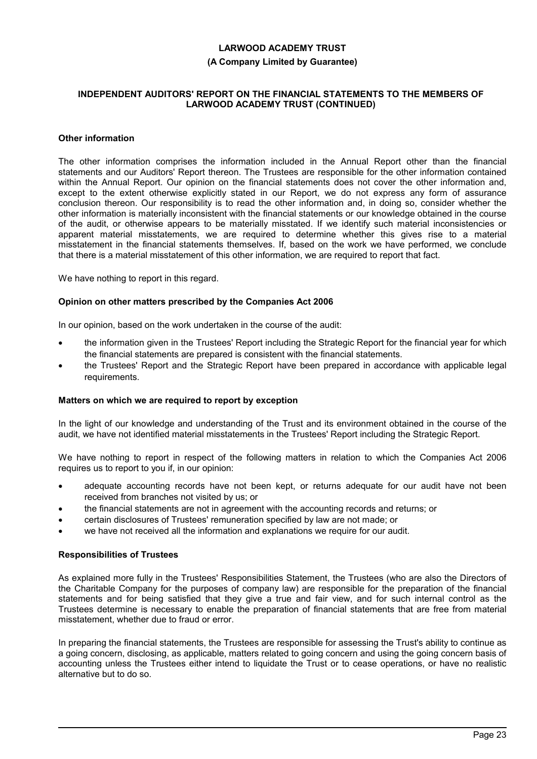### **(A Company Limited by Guarantee)**

#### **INDEPENDENT AUDITORS' REPORT ON THE FINANCIAL STATEMENTS TO THE MEMBERS OF LARWOOD ACADEMY TRUST (CONTINUED)**

### **Other information**

The other information comprises the information included in the Annual Report other than the financial statements and our Auditors' Report thereon. The Trustees are responsible for the other information contained within the Annual Report. Our opinion on the financial statements does not cover the other information and, except to the extent otherwise explicitly stated in our Report, we do not express any form of assurance conclusion thereon. Our responsibility is to read the other information and, in doing so, consider whether the other information is materially inconsistent with the financial statements or our knowledge obtained in the course of the audit, or otherwise appears to be materially misstated. If we identify such material inconsistencies or apparent material misstatements, we are required to determine whether this gives rise to a material misstatement in the financial statements themselves. If, based on the work we have performed, we conclude that there is a material misstatement of this other information, we are required to report that fact.

We have nothing to report in this regard.

### **Opinion on other matters prescribed by the Companies Act 2006**

In our opinion, based on the work undertaken in the course of the audit:

- the information given in the Trustees' Report including the Strategic Report for the financial year for which the financial statements are prepared is consistent with the financial statements.
- the Trustees' Report and the Strategic Report have been prepared in accordance with applicable legal requirements.

### **Matters on which we are required to report by exception**

In the light of our knowledge and understanding of the Trust and its environment obtained in the course of the audit, we have not identified material misstatements in the Trustees' Report including the Strategic Report.

We have nothing to report in respect of the following matters in relation to which the Companies Act 2006 requires us to report to you if, in our opinion:

- adequate accounting records have not been kept, or returns adequate for our audit have not been received from branches not visited by us; or
- the financial statements are not in agreement with the accounting records and returns; or
- certain disclosures of Trustees' remuneration specified by law are not made; or
- we have not received all the information and explanations we require for our audit.

### **Responsibilities of Trustees**

As explained more fully in the Trustees' Responsibilities Statement, the Trustees (who are also the Directors of the Charitable Company for the purposes of company law) are responsible for the preparation of the financial statements and for being satisfied that they give a true and fair view, and for such internal control as the Trustees determine is necessary to enable the preparation of financial statements that are free from material misstatement, whether due to fraud or error.

In preparing the financial statements, the Trustees are responsible for assessing the Trust's ability to continue as a going concern, disclosing, as applicable, matters related to going concern and using the going concern basis of accounting unless the Trustees either intend to liquidate the Trust or to cease operations, or have no realistic alternative but to do so.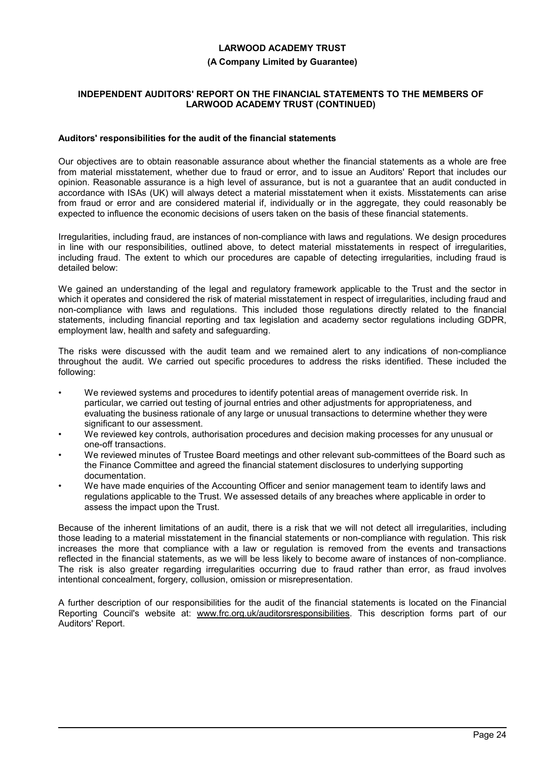### **(A Company Limited by Guarantee)**

#### **INDEPENDENT AUDITORS' REPORT ON THE FINANCIAL STATEMENTS TO THE MEMBERS OF LARWOOD ACADEMY TRUST (CONTINUED)**

#### **Auditors' responsibilities for the audit of the financial statements**

Our objectives are to obtain reasonable assurance about whether the financial statements as a whole are free from material misstatement, whether due to fraud or error, and to issue an Auditors' Report that includes our opinion. Reasonable assurance is a high level of assurance, but is not a guarantee that an audit conducted in accordance with ISAs (UK) will always detect a material misstatement when it exists. Misstatements can arise from fraud or error and are considered material if, individually or in the aggregate, they could reasonably be expected to influence the economic decisions of users taken on the basis of these financial statements.

Irregularities, including fraud, are instances of non-compliance with laws and regulations. We design procedures in line with our responsibilities, outlined above, to detect material misstatements in respect of irregularities, including fraud. The extent to which our procedures are capable of detecting irregularities, including fraud is detailed below:

We gained an understanding of the legal and regulatory framework applicable to the Trust and the sector in which it operates and considered the risk of material misstatement in respect of irregularities, including fraud and non-compliance with laws and regulations. This included those regulations directly related to the financial statements, including financial reporting and tax legislation and academy sector regulations including GDPR, employment law, health and safety and safeguarding.

The risks were discussed with the audit team and we remained alert to any indications of non-compliance throughout the audit. We carried out specific procedures to address the risks identified. These included the following:

- We reviewed systems and procedures to identify potential areas of management override risk. In particular, we carried out testing of journal entries and other adjustments for appropriateness, and evaluating the business rationale of any large or unusual transactions to determine whether they were significant to our assessment.
- We reviewed key controls, authorisation procedures and decision making processes for any unusual or one-off transactions.
- We reviewed minutes of Trustee Board meetings and other relevant sub-committees of the Board such as the Finance Committee and agreed the financial statement disclosures to underlying supporting documentation.
- We have made enquiries of the Accounting Officer and senior management team to identify laws and regulations applicable to the Trust. We assessed details of any breaches where applicable in order to assess the impact upon the Trust.

Because of the inherent limitations of an audit, there is a risk that we will not detect all irregularities, including those leading to a material misstatement in the financial statements or non-compliance with regulation. This risk increases the more that compliance with a law or regulation is removed from the events and transactions reflected in the financial statements, as we will be less likely to become aware of instances of non-compliance. The risk is also greater regarding irregularities occurring due to fraud rather than error, as fraud involves intentional concealment, forgery, collusion, omission or misrepresentation.

A further description of our responsibilities for the audit of the financial statements is located on the Financial Reporting Council's website at: www.frc.org.uk/auditorsresponsibilities. This description forms part of our Auditors' Report.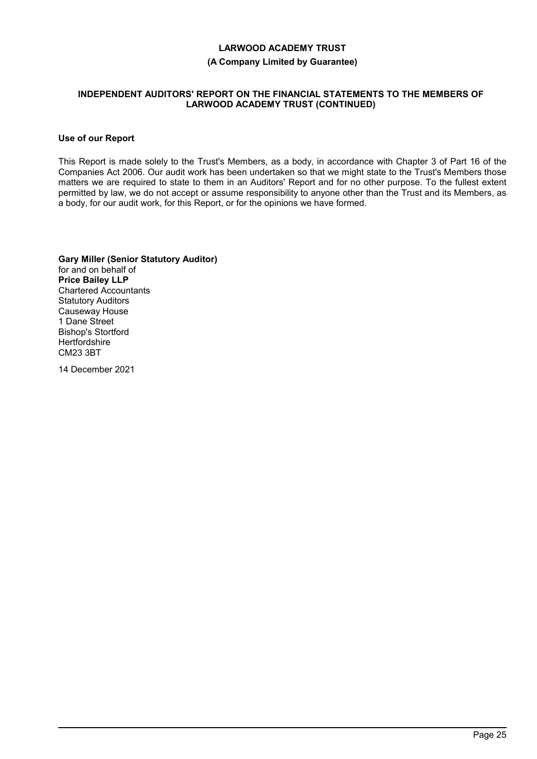#### **(A Company Limited by Guarantee)**

### **INDEPENDENT AUDITORS' REPORT ON THE FINANCIAL STATEMENTS TO THE MEMBERS OF LARWOOD ACADEMY TRUST (CONTINUED)**

### **Use of our Report**

This Report is made solely to the Trust's Members, as a body, in accordance with Chapter 3 of Part 16 of the Companies Act 2006. Our audit work has been undertaken so that we might state to the Trust's Members those matters we are required to state to them in an Auditors' Report and for no other purpose. To the fullest extent permitted by law, we do not accept or assume responsibility to anyone other than the Trust and its Members, as a body, for our audit work, for this Report, or for the opinions we have formed.

**Gary Miller (Senior Statutory Auditor)** for and on behalf of **Price Bailey LLP** Chartered Accountants Statutory Auditors Causeway House 1 Dane Street Bishop's Stortford Hertfordshire CM23 3BT

14 December 2021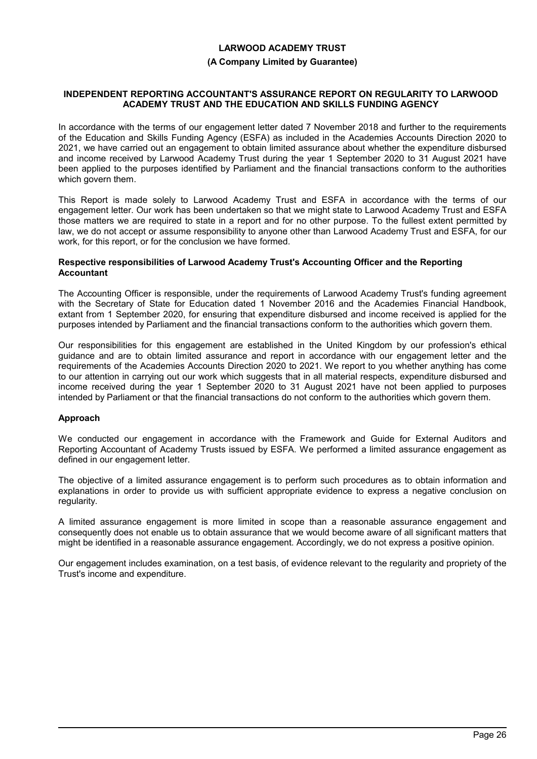#### **(A Company Limited by Guarantee)**

#### **INDEPENDENT REPORTING ACCOUNTANT'S ASSURANCE REPORT ON REGULARITY TO LARWOOD ACADEMY TRUST AND THE EDUCATION AND SKILLS FUNDING AGENCY**

In accordance with the terms of our engagement letter dated 7 November 2018 and further to the requirements of the Education and Skills Funding Agency (ESFA) as included in the Academies Accounts Direction 2020 to 2021, we have carried out an engagement to obtain limited assurance about whether the expenditure disbursed and income received by Larwood Academy Trust during the year 1 September 2020 to 31 August 2021 have been applied to the purposes identified by Parliament and the financial transactions conform to the authorities which govern them.

This Report is made solely to Larwood Academy Trust and ESFA in accordance with the terms of our engagement letter. Our work has been undertaken so that we might state to Larwood Academy Trust and ESFA those matters we are required to state in a report and for no other purpose. To the fullest extent permitted by law, we do not accept or assume responsibility to anyone other than Larwood Academy Trust and ESFA, for our work, for this report, or for the conclusion we have formed.

#### **Respective responsibilities of Larwood Academy Trust's Accounting Officer and the Reporting Accountant**

The Accounting Officer is responsible, under the requirements of Larwood Academy Trust's funding agreement with the Secretary of State for Education dated 1 November 2016 and the Academies Financial Handbook, extant from 1 September 2020, for ensuring that expenditure disbursed and income received is applied for the purposes intended by Parliament and the financial transactions conform to the authorities which govern them.

Our responsibilities for this engagement are established in the United Kingdom by our profession's ethical guidance and are to obtain limited assurance and report in accordance with our engagement letter and the requirements of the Academies Accounts Direction 2020 to 2021. We report to you whether anything has come to our attention in carrying out our work which suggests that in all material respects, expenditure disbursed and income received during the year 1 September 2020 to 31 August 2021 have not been applied to purposes intended by Parliament or that the financial transactions do not conform to the authorities which govern them.

## **Approach**

We conducted our engagement in accordance with the Framework and Guide for External Auditors and Reporting Accountant of Academy Trusts issued by ESFA. We performed a limited assurance engagement as defined in our engagement letter.

The objective of a limited assurance engagement is to perform such procedures as to obtain information and explanations in order to provide us with sufficient appropriate evidence to express a negative conclusion on regularity.

A limited assurance engagement is more limited in scope than a reasonable assurance engagement and consequently does not enable us to obtain assurance that we would become aware of all significant matters that might be identified in a reasonable assurance engagement. Accordingly, we do not express a positive opinion.

Our engagement includes examination, on a test basis, of evidence relevant to the regularity and propriety of the Trust's income and expenditure.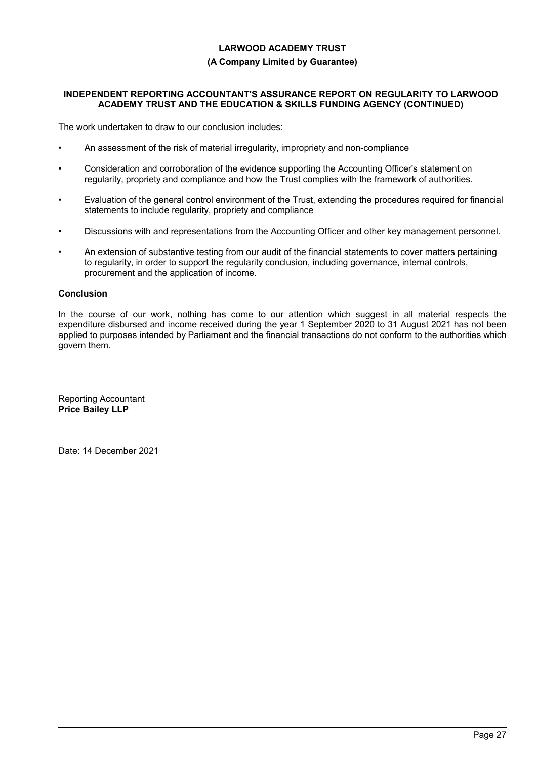# **(A Company Limited by Guarantee)**

### **INDEPENDENT REPORTING ACCOUNTANT'S ASSURANCE REPORT ON REGULARITY TO LARWOOD ACADEMY TRUST AND THE EDUCATION & SKILLS FUNDING AGENCY (CONTINUED)**

The work undertaken to draw to our conclusion includes:

- An assessment of the risk of material irregularity, impropriety and non-compliance
- Consideration and corroboration of the evidence supporting the Accounting Officer's statement on regularity, propriety and compliance and how the Trust complies with the framework of authorities.
- Evaluation of the general control environment of the Trust, extending the procedures required for financial statements to include regularity, propriety and compliance
- Discussions with and representations from the Accounting Officer and other key management personnel.
- An extension of substantive testing from our audit of the financial statements to cover matters pertaining to regularity, in order to support the regularity conclusion, including governance, internal controls, procurement and the application of income.

## **Conclusion**

In the course of our work, nothing has come to our attention which suggest in all material respects the expenditure disbursed and income received during the year 1 September 2020 to 31 August 2021 has not been applied to purposes intended by Parliament and the financial transactions do not conform to the authorities which govern them.

Reporting Accountant **Price Bailey LLP**

Date: 14 December 2021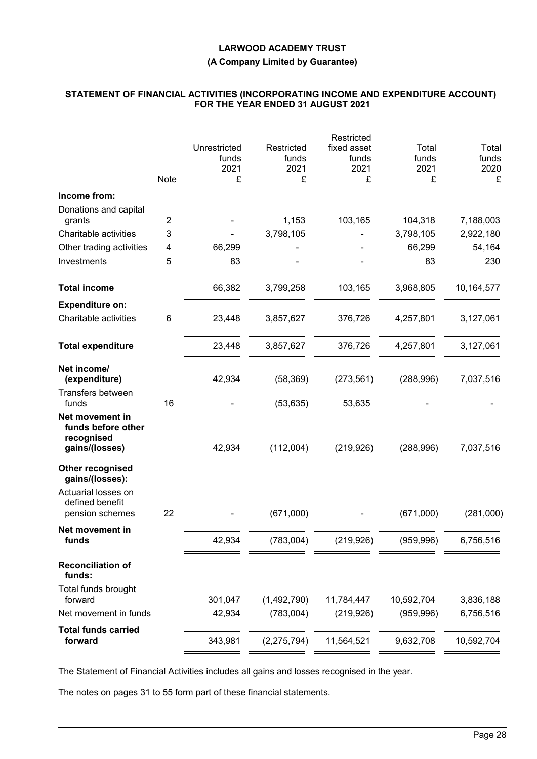### **(A Company Limited by Guarantee)**

### **STATEMENT OF FINANCIAL ACTIVITIES (INCORPORATING INCOME AND EXPENDITURE ACCOUNT) FOR THE YEAR ENDED 31 AUGUST 2021**

|                                                     |      |                                    |                                  | Restricted                        |                             |                             |
|-----------------------------------------------------|------|------------------------------------|----------------------------------|-----------------------------------|-----------------------------|-----------------------------|
|                                                     | Note | Unrestricted<br>funds<br>2021<br>£ | Restricted<br>funds<br>2021<br>£ | fixed asset<br>funds<br>2021<br>£ | Total<br>funds<br>2021<br>£ | Total<br>funds<br>2020<br>£ |
| Income from:                                        |      |                                    |                                  |                                   |                             |                             |
| Donations and capital                               |      |                                    |                                  |                                   |                             |                             |
| grants                                              | 2    |                                    | 1,153                            | 103,165                           | 104,318                     | 7,188,003                   |
| Charitable activities                               | 3    |                                    | 3,798,105                        |                                   | 3,798,105                   | 2,922,180                   |
| Other trading activities                            | 4    | 66,299                             |                                  |                                   | 66,299                      | 54,164                      |
| Investments                                         | 5    | 83                                 |                                  |                                   | 83                          | 230                         |
| <b>Total income</b>                                 |      | 66,382                             | 3,799,258                        | 103,165                           | 3,968,805                   | 10,164,577                  |
| <b>Expenditure on:</b>                              |      |                                    |                                  |                                   |                             |                             |
| Charitable activities                               | 6    | 23,448                             | 3,857,627                        | 376,726                           | 4,257,801                   | 3,127,061                   |
| <b>Total expenditure</b>                            |      | 23,448                             | 3,857,627                        | 376,726                           | 4,257,801                   | 3,127,061                   |
| Net income/<br>(expenditure)                        |      | 42,934                             | (58, 369)                        | (273, 561)                        | (288, 996)                  | 7,037,516                   |
| Transfers between                                   |      |                                    |                                  |                                   |                             |                             |
| funds                                               | 16   |                                    | (53, 635)                        | 53,635                            |                             |                             |
| Net movement in<br>funds before other<br>recognised |      |                                    |                                  |                                   |                             |                             |
| gains/(losses)                                      |      | 42,934                             | (112,004)                        | (219, 926)                        | (288, 996)                  | 7,037,516                   |
| Other recognised<br>gains/(losses):                 |      |                                    |                                  |                                   |                             |                             |
| Actuarial losses on                                 |      |                                    |                                  |                                   |                             |                             |
| defined benefit<br>pension schemes                  | 22   |                                    | (671,000)                        |                                   | (671,000)                   | (281,000)                   |
| Net movement in<br>funds                            |      | 42,934                             | (783,004)                        | (219, 926)                        | (959, 996)                  | 6,756,516                   |
|                                                     |      |                                    |                                  |                                   |                             |                             |
| <b>Reconciliation of</b><br>funds:                  |      |                                    |                                  |                                   |                             |                             |
| Total funds brought<br>forward                      |      | 301,047                            | (1,492,790)                      | 11,784,447                        | 10,592,704                  | 3,836,188                   |
| Net movement in funds                               |      | 42,934                             | (783,004)                        | (219, 926)                        | (959, 996)                  | 6,756,516                   |
| <b>Total funds carried</b><br>forward               |      |                                    |                                  |                                   |                             |                             |
|                                                     |      | 343,981                            | (2, 275, 794)                    | 11,564,521                        | 9,632,708                   | 10,592,704                  |

The Statement of Financial Activities includes all gains and losses recognised in the year.

The notes on pages 31 to 55 form part of these financial statements.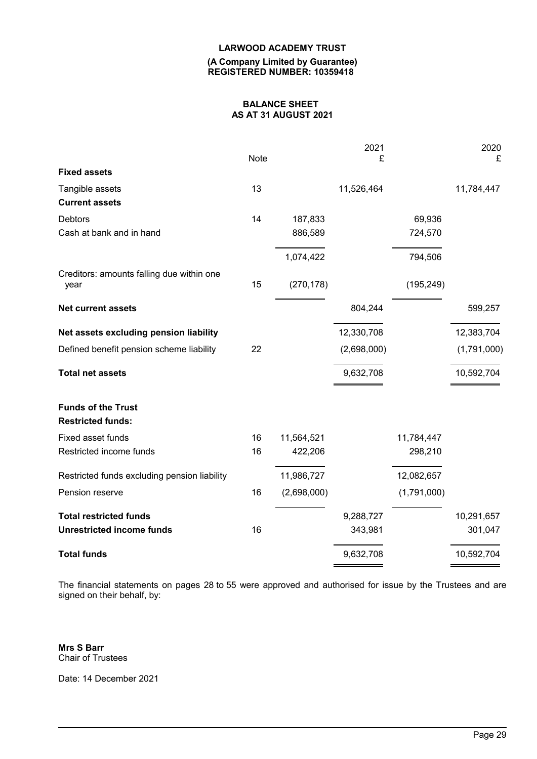#### **(A Company Limited by Guarantee) REGISTERED NUMBER: 10359418**

# **BALANCE SHEET AS AT 31 AUGUST 2021**

|                                                       | <b>Note</b> |             | 2021<br>£   |             | 2020        |
|-------------------------------------------------------|-------------|-------------|-------------|-------------|-------------|
| <b>Fixed assets</b>                                   |             |             |             |             | £           |
|                                                       |             |             |             |             |             |
| Tangible assets                                       | 13          |             | 11,526,464  |             | 11,784,447  |
| <b>Current assets</b>                                 |             |             |             |             |             |
| <b>Debtors</b>                                        | 14          | 187,833     |             | 69,936      |             |
| Cash at bank and in hand                              |             | 886,589     |             | 724,570     |             |
|                                                       |             | 1,074,422   |             | 794,506     |             |
| Creditors: amounts falling due within one             |             |             |             |             |             |
| year                                                  | 15          | (270, 178)  |             | (195, 249)  |             |
| <b>Net current assets</b>                             |             |             | 804,244     |             | 599,257     |
| Net assets excluding pension liability                |             |             | 12,330,708  |             | 12,383,704  |
| Defined benefit pension scheme liability              | 22          |             | (2,698,000) |             | (1,791,000) |
| <b>Total net assets</b>                               |             |             | 9,632,708   |             | 10,592,704  |
|                                                       |             |             |             |             |             |
| <b>Funds of the Trust</b><br><b>Restricted funds:</b> |             |             |             |             |             |
| Fixed asset funds                                     | 16          | 11,564,521  |             | 11,784,447  |             |
| Restricted income funds                               | 16          | 422,206     |             | 298,210     |             |
| Restricted funds excluding pension liability          |             | 11,986,727  |             | 12,082,657  |             |
| Pension reserve                                       | 16          | (2,698,000) |             | (1,791,000) |             |
| <b>Total restricted funds</b>                         |             |             | 9,288,727   |             | 10,291,657  |
| <b>Unrestricted income funds</b>                      | 16          |             | 343,981     |             | 301,047     |
| <b>Total funds</b>                                    |             |             | 9,632,708   |             | 10,592,704  |

The financial statements on pages 28 to 55 were approved and authorised for issue by the Trustees and are signed on their behalf, by:

**Mrs S Barr** Chair of Trustees

Date: 14 December 2021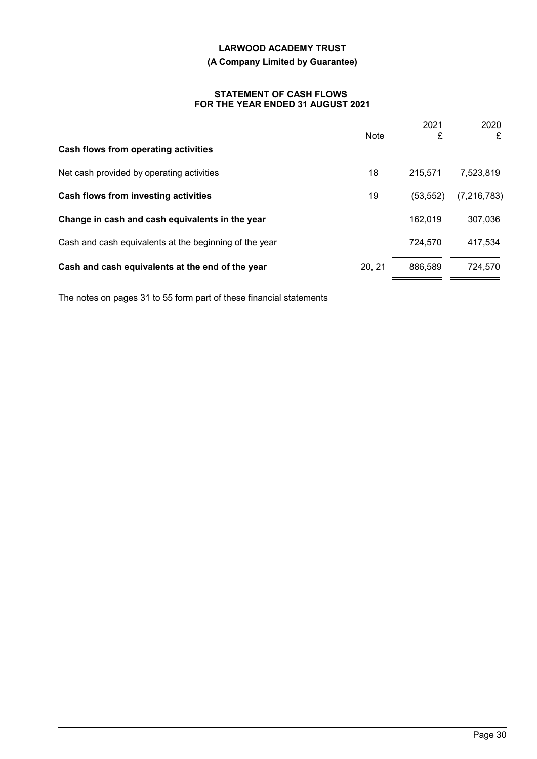# **(A Company Limited by Guarantee)**

### **STATEMENT OF CASH FLOWS FOR THE YEAR ENDED 31 AUGUST 2021**

|                                                        | <b>Note</b> | 2021<br>£ | 2020<br>£     |
|--------------------------------------------------------|-------------|-----------|---------------|
| Cash flows from operating activities                   |             |           |               |
| Net cash provided by operating activities              | 18          | 215,571   | 7,523,819     |
| Cash flows from investing activities                   | 19          | (53.552)  | (7, 216, 783) |
| Change in cash and cash equivalents in the year        |             | 162,019   | 307,036       |
| Cash and cash equivalents at the beginning of the year |             | 724,570   | 417,534       |
| Cash and cash equivalents at the end of the year       | 20.21       | 886.589   | 724,570       |

The notes on pages 31 to 55 form part of these financial statements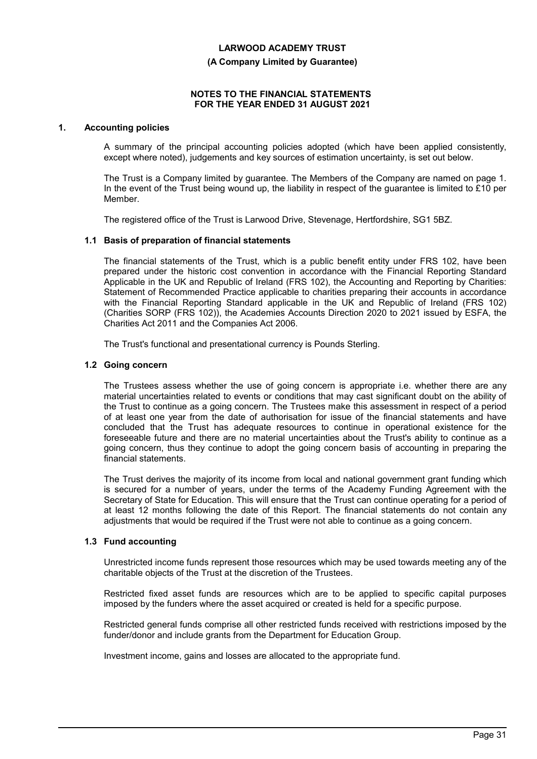**(A Company Limited by Guarantee)**

#### **NOTES TO THE FINANCIAL STATEMENTS FOR THE YEAR ENDED 31 AUGUST 2021**

#### **1. Accounting policies**

A summary of the principal accounting policies adopted (which have been applied consistently, except where noted), judgements and key sources of estimation uncertainty, is set out below.

The Trust is a Company limited by guarantee. The Members of the Company are named on page 1. In the event of the Trust being wound up, the liability in respect of the quarantee is limited to  $£10$  per Member.

The registered office of the Trust is Larwood Drive, Stevenage, Hertfordshire, SG1 5BZ.

#### **1.1 Basis of preparation of financial statements**

The financial statements of the Trust, which is a public benefit entity under FRS 102, have been prepared under the historic cost convention in accordance with the Financial Reporting Standard Applicable in the UK and Republic of Ireland (FRS 102), the Accounting and Reporting by Charities: Statement of Recommended Practice applicable to charities preparing their accounts in accordance with the Financial Reporting Standard applicable in the UK and Republic of Ireland (FRS 102) (Charities SORP (FRS 102)), the Academies Accounts Direction 2020 to 2021 issued by ESFA, the Charities Act 2011 and the Companies Act 2006.

The Trust's functional and presentational currency is Pounds Sterling.

#### **1.2 Going concern**

The Trustees assess whether the use of going concern is appropriate i.e. whether there are any material uncertainties related to events or conditions that may cast significant doubt on the ability of the Trust to continue as a going concern. The Trustees make this assessment in respect of a period of at least one year from the date of authorisation for issue of the financial statements and have concluded that the Trust has adequate resources to continue in operational existence for the foreseeable future and there are no material uncertainties about the Trust's ability to continue as a going concern, thus they continue to adopt the going concern basis of accounting in preparing the financial statements.

The Trust derives the majority of its income from local and national government grant funding which is secured for a number of years, under the terms of the Academy Funding Agreement with the Secretary of State for Education. This will ensure that the Trust can continue operating for a period of at least 12 months following the date of this Report. The financial statements do not contain any adjustments that would be required if the Trust were not able to continue as a going concern.

#### **1.3 Fund accounting**

Unrestricted income funds represent those resources which may be used towards meeting any of the charitable objects of the Trust at the discretion of the Trustees.

Restricted fixed asset funds are resources which are to be applied to specific capital purposes imposed by the funders where the asset acquired or created is held for a specific purpose.

Restricted general funds comprise all other restricted funds received with restrictions imposed by the funder/donor and include grants from the Department for Education Group.

Investment income, gains and losses are allocated to the appropriate fund.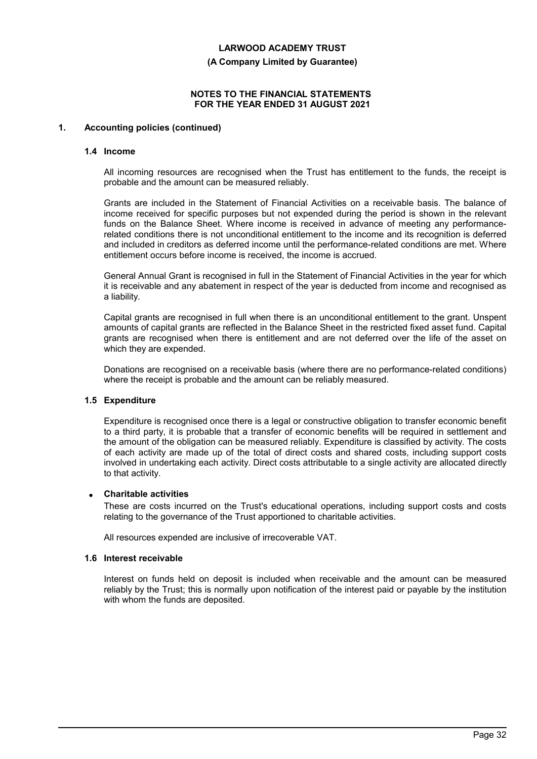**(A Company Limited by Guarantee)**

#### **NOTES TO THE FINANCIAL STATEMENTS FOR THE YEAR ENDED 31 AUGUST 2021**

### **1. Accounting policies (continued)**

#### **1.4 Income**

All incoming resources are recognised when the Trust has entitlement to the funds, the receipt is probable and the amount can be measured reliably.

Grants are included in the Statement of Financial Activities on a receivable basis. The balance of income received for specific purposes but not expended during the period is shown in the relevant funds on the Balance Sheet. Where income is received in advance of meeting any performancerelated conditions there is not unconditional entitlement to the income and its recognition is deferred and included in creditors as deferred income until the performance-related conditions are met. Where entitlement occurs before income is received, the income is accrued.

General Annual Grant is recognised in full in the Statement of Financial Activities in the year for which it is receivable and any abatement in respect of the year is deducted from income and recognised as a liability.

Capital grants are recognised in full when there is an unconditional entitlement to the grant. Unspent amounts of capital grants are reflected in the Balance Sheet in the restricted fixed asset fund. Capital grants are recognised when there is entitlement and are not deferred over the life of the asset on which they are expended.

Donations are recognised on a receivable basis (where there are no performance-related conditions) where the receipt is probable and the amount can be reliably measured.

### **1.5 Expenditure**

Expenditure is recognised once there is a legal or constructive obligation to transfer economic benefit to a third party, it is probable that a transfer of economic benefits will be required in settlement and the amount of the obligation can be measured reliably. Expenditure is classified by activity. The costs of each activity are made up of the total of direct costs and shared costs, including support costs involved in undertaking each activity. Direct costs attributable to a single activity are allocated directly to that activity.

#### **Charitable activities**

These are costs incurred on the Trust's educational operations, including support costs and costs relating to the governance of the Trust apportioned to charitable activities.

All resources expended are inclusive of irrecoverable VAT.

#### **1.6 Interest receivable**

Interest on funds held on deposit is included when receivable and the amount can be measured reliably by the Trust; this is normally upon notification of the interest paid or payable by the institution with whom the funds are deposited.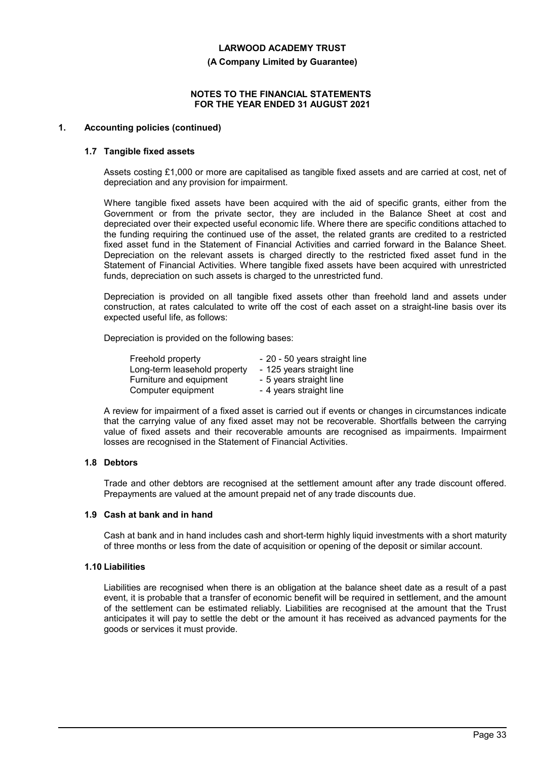**(A Company Limited by Guarantee)**

#### **NOTES TO THE FINANCIAL STATEMENTS FOR THE YEAR ENDED 31 AUGUST 2021**

## **1. Accounting policies (continued)**

#### **1.7 Tangible fixed assets**

Assets costing £1,000 or more are capitalised as tangible fixed assets and are carried at cost, net of depreciation and any provision for impairment.

Where tangible fixed assets have been acquired with the aid of specific grants, either from the Government or from the private sector, they are included in the Balance Sheet at cost and depreciated over their expected useful economic life. Where there are specific conditions attached to the funding requiring the continued use of the asset, the related grants are credited to a restricted fixed asset fund in the Statement of Financial Activities and carried forward in the Balance Sheet. Depreciation on the relevant assets is charged directly to the restricted fixed asset fund in the Statement of Financial Activities. Where tangible fixed assets have been acquired with unrestricted funds, depreciation on such assets is charged to the unrestricted fund.

Depreciation is provided on all tangible fixed assets other than freehold land and assets under construction, at rates calculated to write off the cost of each asset on a straight-line basis over its expected useful life, as follows:

Depreciation is provided on the following bases:

| Freehold property            | - 20 - 50 years straight line |
|------------------------------|-------------------------------|
| Long-term leasehold property | - 125 years straight line     |
| Furniture and equipment      | - 5 years straight line       |
| Computer equipment           | - 4 years straight line       |

A review for impairment of a fixed asset is carried out if events or changes in circumstances indicate that the carrying value of any fixed asset may not be recoverable. Shortfalls between the carrying value of fixed assets and their recoverable amounts are recognised as impairments. Impairment losses are recognised in the Statement of Financial Activities.

# **1.8 Debtors**

Trade and other debtors are recognised at the settlement amount after any trade discount offered. Prepayments are valued at the amount prepaid net of any trade discounts due.

#### **1.9 Cash at bank and in hand**

Cash at bank and in hand includes cash and short-term highly liquid investments with a short maturity of three months or less from the date of acquisition or opening of the deposit or similar account.

### **1.10 Liabilities**

Liabilities are recognised when there is an obligation at the balance sheet date as a result of a past event, it is probable that a transfer of economic benefit will be required in settlement, and the amount of the settlement can be estimated reliably. Liabilities are recognised at the amount that the Trust anticipates it will pay to settle the debt or the amount it has received as advanced payments for the goods or services it must provide.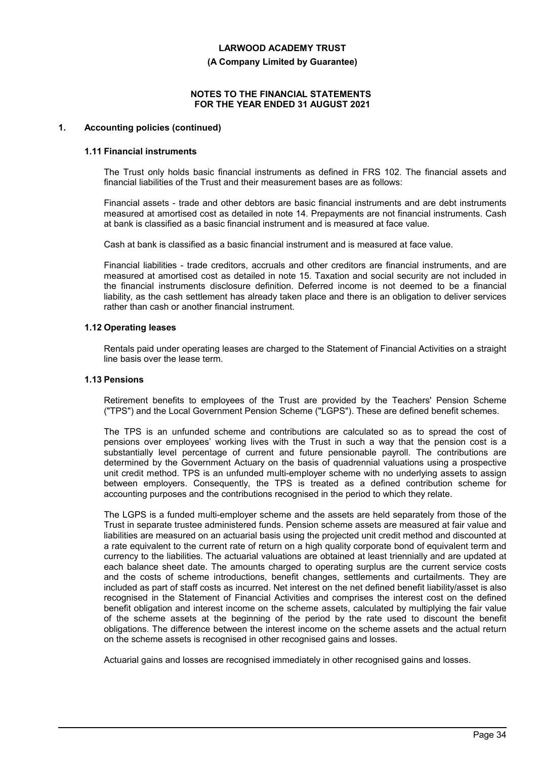**(A Company Limited by Guarantee)**

#### **NOTES TO THE FINANCIAL STATEMENTS FOR THE YEAR ENDED 31 AUGUST 2021**

### **1. Accounting policies (continued)**

#### **1.11 Financial instruments**

The Trust only holds basic financial instruments as defined in FRS 102. The financial assets and financial liabilities of the Trust and their measurement bases are as follows:

Financial assets - trade and other debtors are basic financial instruments and are debt instruments measured at amortised cost as detailed in note 14. Prepayments are not financial instruments. Cash at bank is classified as a basic financial instrument and is measured at face value.

Cash at bank is classified as a basic financial instrument and is measured at face value.

Financial liabilities - trade creditors, accruals and other creditors are financial instruments, and are measured at amortised cost as detailed in note 15. Taxation and social security are not included in the financial instruments disclosure definition. Deferred income is not deemed to be a financial liability, as the cash settlement has already taken place and there is an obligation to deliver services rather than cash or another financial instrument.

### **1.12 Operating leases**

Rentals paid under operating leases are charged to the Statement of Financial Activities on a straight line basis over the lease term.

#### **1.13 Pensions**

Retirement benefits to employees of the Trust are provided by the Teachers' Pension Scheme ("TPS") and the Local Government Pension Scheme ("LGPS"). These are defined benefit schemes.

The TPS is an unfunded scheme and contributions are calculated so as to spread the cost of pensions over employees' working lives with the Trust in such a way that the pension cost is a substantially level percentage of current and future pensionable payroll. The contributions are determined by the Government Actuary on the basis of quadrennial valuations using a prospective unit credit method. TPS is an unfunded multi-employer scheme with no underlying assets to assign between employers. Consequently, the TPS is treated as a defined contribution scheme for accounting purposes and the contributions recognised in the period to which they relate.

The LGPS is a funded multi-employer scheme and the assets are held separately from those of the Trust in separate trustee administered funds. Pension scheme assets are measured at fair value and liabilities are measured on an actuarial basis using the projected unit credit method and discounted at a rate equivalent to the current rate of return on a high quality corporate bond of equivalent term and currency to the liabilities. The actuarial valuations are obtained at least triennially and are updated at each balance sheet date. The amounts charged to operating surplus are the current service costs and the costs of scheme introductions, benefit changes, settlements and curtailments. They are included as part of staff costs as incurred. Net interest on the net defined benefit liability/asset is also recognised in the Statement of Financial Activities and comprises the interest cost on the defined benefit obligation and interest income on the scheme assets, calculated by multiplying the fair value of the scheme assets at the beginning of the period by the rate used to discount the benefit obligations. The difference between the interest income on the scheme assets and the actual return on the scheme assets is recognised in other recognised gains and losses.

Actuarial gains and losses are recognised immediately in other recognised gains and losses.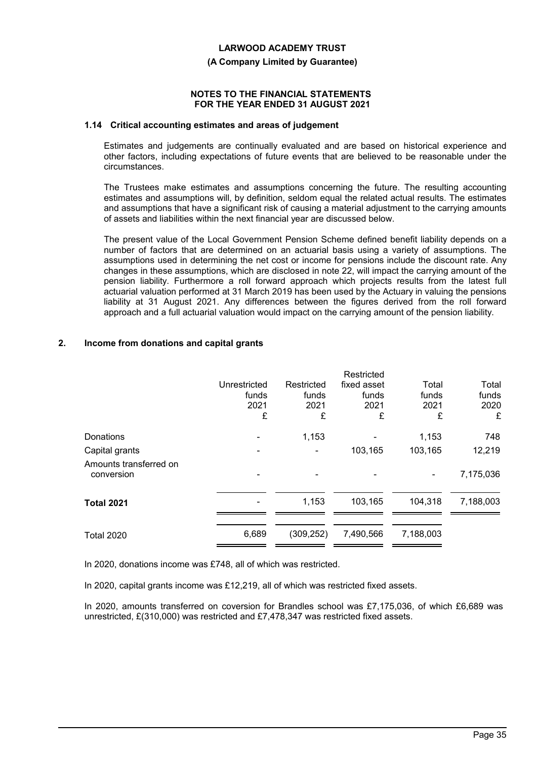#### **(A Company Limited by Guarantee)**

#### **NOTES TO THE FINANCIAL STATEMENTS FOR THE YEAR ENDED 31 AUGUST 2021**

### **1.14 Critical accounting estimates and areas of judgement**

Estimates and judgements are continually evaluated and are based on historical experience and other factors, including expectations of future events that are believed to be reasonable under the circumstances.

The Trustees make estimates and assumptions concerning the future. The resulting accounting estimates and assumptions will, by definition, seldom equal the related actual results. The estimates and assumptions that have a significant risk of causing a material adjustment to the carrying amounts of assets and liabilities within the next financial year are discussed below.

The present value of the Local Government Pension Scheme defined benefit liability depends on a number of factors that are determined on an actuarial basis using a variety of assumptions. The assumptions used in determining the net cost or income for pensions include the discount rate. Any changes in these assumptions, which are disclosed in note 22, will impact the carrying amount of the pension liability. Furthermore a roll forward approach which projects results from the latest full actuarial valuation performed at 31 March 2019 has been used by the Actuary in valuing the pensions liability at 31 August 2021. Any differences between the figures derived from the roll forward approach and a full actuarial valuation would impact on the carrying amount of the pension liability.

## **2. Income from donations and capital grants**

|                                      |              |            | Restricted  |           |           |
|--------------------------------------|--------------|------------|-------------|-----------|-----------|
|                                      | Unrestricted | Restricted | fixed asset | Total     | Total     |
|                                      | funds        | funds      | funds       | funds     | funds     |
|                                      | 2021         | 2021       | 2021        | 2021      | 2020      |
|                                      | £            | £          | £           | £         | £         |
| Donations                            |              | 1,153      |             | 1,153     | 748       |
| Capital grants                       |              |            | 103,165     | 103,165   | 12,219    |
| Amounts transferred on<br>conversion |              |            |             | ۰         | 7,175,036 |
| <b>Total 2021</b>                    |              | 1,153      | 103,165     | 104,318   | 7,188,003 |
| <b>Total 2020</b>                    | 6,689        | (309, 252) | 7,490,566   | 7,188,003 |           |
|                                      |              |            |             |           |           |

In 2020, donations income was £748, all of which was restricted.

In 2020, capital grants income was £12,219, all of which was restricted fixed assets.

In 2020, amounts transferred on coversion for Brandles school was £7,175,036, of which £6,689 was unrestricted, £(310,000) was restricted and £7,478,347 was restricted fixed assets.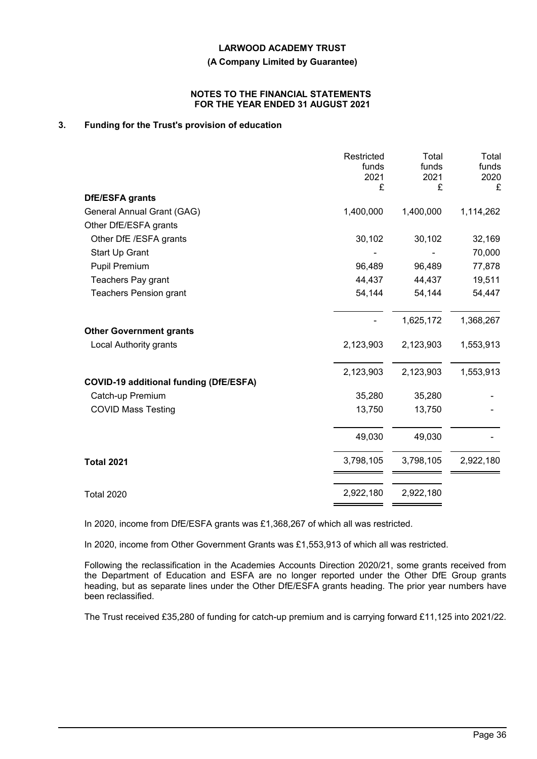**(A Company Limited by Guarantee)**

#### **NOTES TO THE FINANCIAL STATEMENTS FOR THE YEAR ENDED 31 AUGUST 2021**

# **3. Funding for the Trust's provision of education**

|                                               | Restricted<br>funds<br>2021<br>£ | Total<br>funds<br>2021<br>£ | Total<br>funds<br>2020<br>£ |
|-----------------------------------------------|----------------------------------|-----------------------------|-----------------------------|
| <b>DfE/ESFA grants</b>                        |                                  |                             |                             |
| General Annual Grant (GAG)                    | 1,400,000                        | 1,400,000                   | 1,114,262                   |
| Other DfE/ESFA grants                         |                                  |                             |                             |
| Other DfE /ESFA grants                        | 30,102                           | 30,102                      | 32,169                      |
| Start Up Grant                                |                                  |                             | 70,000                      |
| <b>Pupil Premium</b>                          | 96,489                           | 96,489                      | 77,878                      |
| <b>Teachers Pay grant</b>                     | 44,437                           | 44,437                      | 19,511                      |
| <b>Teachers Pension grant</b>                 | 54,144                           | 54,144                      | 54,447                      |
|                                               |                                  | 1,625,172                   | 1,368,267                   |
| <b>Other Government grants</b>                |                                  |                             |                             |
| Local Authority grants                        | 2,123,903                        | 2,123,903                   | 1,553,913                   |
| <b>COVID-19 additional funding (DfE/ESFA)</b> | 2,123,903                        | 2,123,903                   | 1,553,913                   |
| Catch-up Premium                              | 35,280                           | 35,280                      |                             |
| <b>COVID Mass Testing</b>                     | 13,750                           | 13,750                      |                             |
|                                               | 49,030                           | 49,030                      |                             |
| <b>Total 2021</b>                             | 3,798,105                        | 3,798,105                   | 2,922,180                   |
| <b>Total 2020</b>                             | 2,922,180                        | 2,922,180                   |                             |
|                                               |                                  |                             |                             |

In 2020, income from DfE/ESFA grants was £1,368,267 of which all was restricted.

In 2020, income from Other Government Grants was £1,553,913 of which all was restricted.

Following the reclassification in the Academies Accounts Direction 2020/21, some grants received from the Department of Education and ESFA are no longer reported under the Other DfE Group grants heading, but as separate lines under the Other DfE/ESFA grants heading. The prior year numbers have been reclassified.

The Trust received £35,280 of funding for catch-up premium and is carrying forward £11,125 into 2021/22.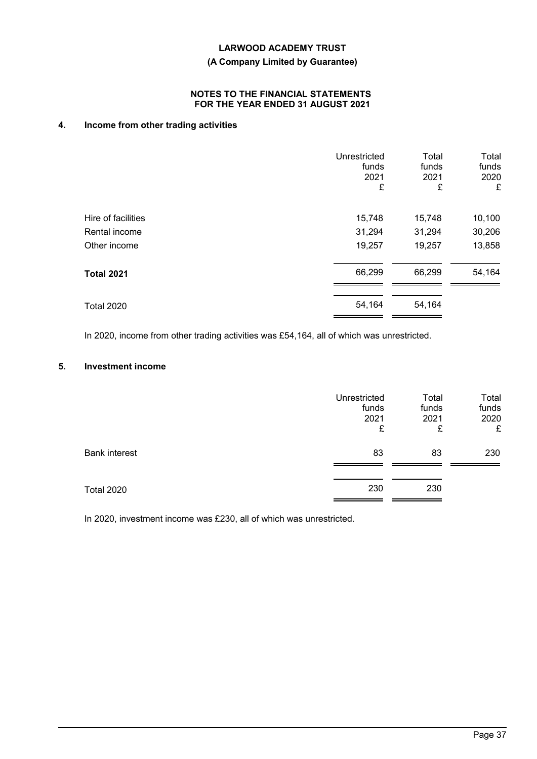## **(A Company Limited by Guarantee)**

### **NOTES TO THE FINANCIAL STATEMENTS FOR THE YEAR ENDED 31 AUGUST 2021**

# **4. Income from other trading activities**

|                    | Unrestricted<br>funds<br>2021<br>£ | Total<br>funds<br>2021<br>£ | Total<br>funds<br>2020<br>£ |
|--------------------|------------------------------------|-----------------------------|-----------------------------|
| Hire of facilities | 15,748                             | 15,748                      | 10,100                      |
| Rental income      | 31,294                             | 31,294                      | 30,206                      |
| Other income       | 19,257                             | 19,257                      | 13,858                      |
| <b>Total 2021</b>  | 66,299                             | 66,299                      | 54,164                      |
| <b>Total 2020</b>  | 54,164                             | 54,164                      |                             |

In 2020, income from other trading activities was £54,164, all of which was unrestricted.

# **5. Investment income**

|                      | Unrestricted<br>funds<br>2021<br>£ | Total<br>funds<br>2021<br>£ | Total<br>funds<br>2020<br>£ |
|----------------------|------------------------------------|-----------------------------|-----------------------------|
| <b>Bank interest</b> | 83                                 | 83                          | 230                         |
| <b>Total 2020</b>    | 230                                | 230                         |                             |

In 2020, investment income was £230, all of which was unrestricted.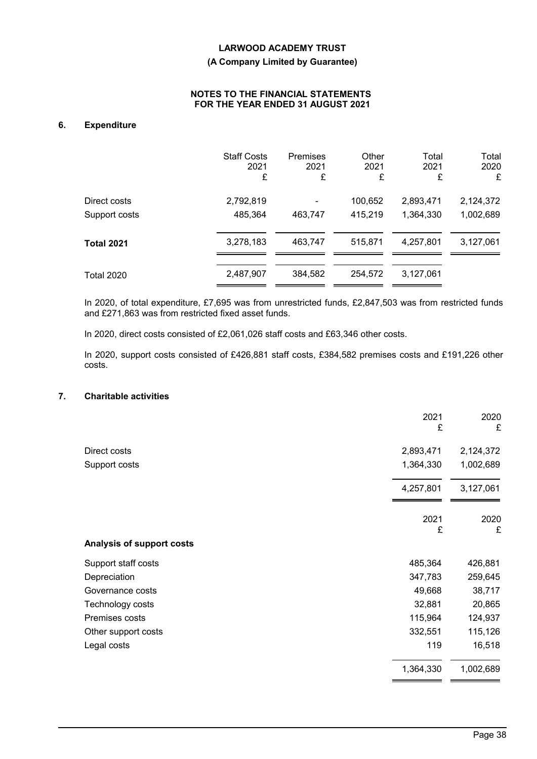### **(A Company Limited by Guarantee)**

### **NOTES TO THE FINANCIAL STATEMENTS FOR THE YEAR ENDED 31 AUGUST 2021**

# **6. Expenditure**

|                   | <b>Staff Costs</b><br>2021<br>£ | <b>Premises</b><br>2021<br>£ | Other<br>2021<br>£ | Total<br>2021<br>£ | Total<br>2020<br>£ |
|-------------------|---------------------------------|------------------------------|--------------------|--------------------|--------------------|
| Direct costs      | 2,792,819                       |                              | 100,652            | 2,893,471          | 2,124,372          |
| Support costs     | 485,364                         | 463,747                      | 415,219            | 1,364,330          | 1,002,689          |
| <b>Total 2021</b> | 3,278,183                       | 463,747                      | 515,871            | 4,257,801          | 3,127,061          |
| <b>Total 2020</b> | 2,487,907                       | 384,582                      | 254,572            | 3,127,061          |                    |

In 2020, of total expenditure, £7,695 was from unrestricted funds, £2,847,503 was from restricted funds and £271,863 was from restricted fixed asset funds.

In 2020, direct costs consisted of £2,061,026 staff costs and £63,346 other costs.

In 2020, support costs consisted of £426,881 staff costs, £384,582 premises costs and £191,226 other costs.

# **7. Charitable activities**

|                                  | 2021<br>£ | 2020<br>£ |
|----------------------------------|-----------|-----------|
| Direct costs                     | 2,893,471 | 2,124,372 |
| Support costs                    | 1,364,330 | 1,002,689 |
|                                  | 4,257,801 | 3,127,061 |
|                                  | 2021<br>£ | 2020<br>£ |
| <b>Analysis of support costs</b> |           |           |
| Support staff costs              | 485,364   | 426,881   |
| Depreciation                     | 347,783   | 259,645   |
| Governance costs                 | 49,668    | 38,717    |
| Technology costs                 | 32,881    | 20,865    |
| Premises costs                   | 115,964   | 124,937   |
| Other support costs              | 332,551   | 115,126   |
| Legal costs                      | 119       | 16,518    |
|                                  | 1,364,330 | 1,002,689 |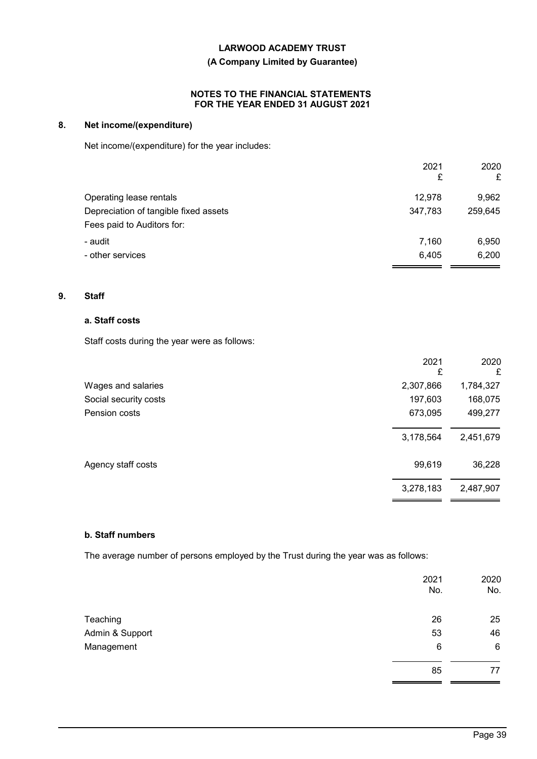### **(A Company Limited by Guarantee)**

### **NOTES TO THE FINANCIAL STATEMENTS FOR THE YEAR ENDED 31 AUGUST 2021**

# **8. Net income/(expenditure)**

Net income/(expenditure) for the year includes:

| 2021<br>£ | 2020<br>£ |
|-----------|-----------|
| 12,978    | 9,962     |
| 347,783   | 259,645   |
|           |           |
| 7,160     | 6,950     |
| 6,405     | 6,200     |
|           |           |

# **9. Staff**

# **a. Staff costs**

Staff costs during the year were as follows:

|                       | 2021<br>£ | 2020<br>£ |
|-----------------------|-----------|-----------|
| Wages and salaries    | 2,307,866 | 1,784,327 |
| Social security costs | 197,603   | 168,075   |
| Pension costs         | 673,095   | 499,277   |
|                       | 3,178,564 | 2,451,679 |
| Agency staff costs    | 99,619    | 36,228    |
|                       | 3,278,183 | 2,487,907 |

## **b. Staff numbers**

The average number of persons employed by the Trust during the year was as follows:

|                 | 2021<br>No. | 2020<br>No. |
|-----------------|-------------|-------------|
| Teaching        | 26          | 25          |
| Admin & Support | 53          | 46          |
| Management      | 6           | 6           |
|                 | 85          | 77          |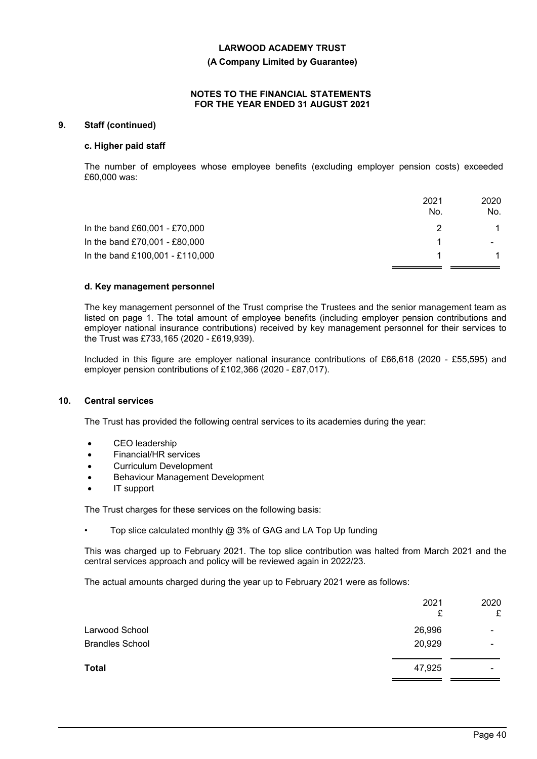#### **(A Company Limited by Guarantee)**

#### **NOTES TO THE FINANCIAL STATEMENTS FOR THE YEAR ENDED 31 AUGUST 2021**

### **9. Staff (continued)**

#### **c. Higher paid staff**

The number of employees whose employee benefits (excluding employer pension costs) exceeded £60,000 was:

|                                 | 2021 | 2020 |
|---------------------------------|------|------|
|                                 | No.  | No.  |
| In the band £60,001 - £70,000   |      |      |
| In the band £70,001 - £80,000   |      |      |
| In the band £100,001 - £110,000 |      |      |

#### **d. Key management personnel**

The key management personnel of the Trust comprise the Trustees and the senior management team as listed on page 1. The total amount of employee benefits (including employer pension contributions and employer national insurance contributions) received by key management personnel for their services to the Trust was £733,165 (2020 *-* £619,939).

Included in this figure are employer national insurance contributions of £66,618 (2020 - £55,595) and employer pension contributions of £102,366 (2020 - £87,017).

### **10. Central services**

The Trust has provided the following central services to its academies during the year:

- CEO leadership
- Financial/HR services
- Curriculum Development
- Behaviour Management Development
- IT support

The Trust charges for these services on the following basis:

• Top slice calculated monthly @ 3% of GAG and LA Top Up funding

This was charged up to February 2021. The top slice contribution was halted from March 2021 and the central services approach and policy will be reviewed again in 2022/23.

The actual amounts charged during the year up to February 2021 were as follows:

|                        | 2021<br>£ | 2020<br>£      |
|------------------------|-----------|----------------|
| Larwood School         | 26,996    | -              |
| <b>Brandles School</b> | 20,929    | -              |
| <b>Total</b>           | 47,925    | $\blacksquare$ |
|                        |           |                |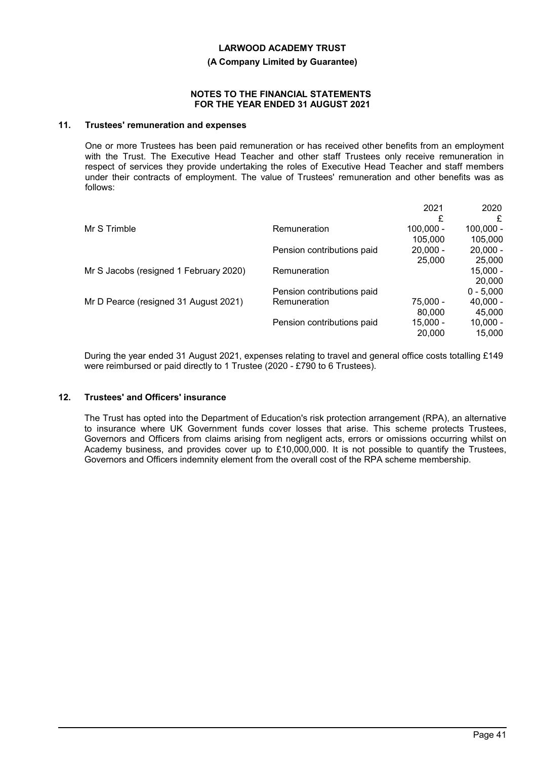#### **(A Company Limited by Guarantee)**

#### **NOTES TO THE FINANCIAL STATEMENTS FOR THE YEAR ENDED 31 AUGUST 2021**

### **11. Trustees' remuneration and expenses**

One or more Trustees has been paid remuneration or has received other benefits from an employment with the Trust. The Executive Head Teacher and other staff Trustees only receive remuneration in respect of services they provide undertaking the roles of Executive Head Teacher and staff members under their contracts of employment. The value of Trustees' remuneration and other benefits was as follows:

|                                        |                            | 2021        | 2020        |
|----------------------------------------|----------------------------|-------------|-------------|
|                                        |                            | £           | £           |
| Mr S Trimble                           | Remuneration               | $100.000 -$ | $100,000 -$ |
|                                        |                            | 105.000     | 105,000     |
|                                        | Pension contributions paid | $20,000 -$  | $20,000 -$  |
|                                        |                            | 25,000      | 25,000      |
| Mr S Jacobs (resigned 1 February 2020) | Remuneration               |             | $15,000 -$  |
|                                        |                            |             | 20,000      |
|                                        | Pension contributions paid |             | $0 - 5.000$ |
| Mr D Pearce (resigned 31 August 2021)  | Remuneration               | 75.000 -    | $40,000 -$  |
|                                        |                            | 80,000      | 45,000      |
|                                        | Pension contributions paid | $15,000 -$  | $10,000 -$  |
|                                        |                            | 20,000      | 15,000      |
|                                        |                            |             |             |

During the year ended 31 August 2021, expenses relating to travel and general office costs totalling £149 were reimbursed or paid directly to 1 Trustee (2020 - £790 to 6 Trustees).

#### **12. Trustees' and Officers' insurance**

The Trust has opted into the Department of Education's risk protection arrangement (RPA), an alternative to insurance where UK Government funds cover losses that arise. This scheme protects Trustees, Governors and Officers from claims arising from negligent acts, errors or omissions occurring whilst on Academy business, and provides cover up to £10,000,000. It is not possible to quantify the Trustees, Governors and Officers indemnity element from the overall cost of the RPA scheme membership.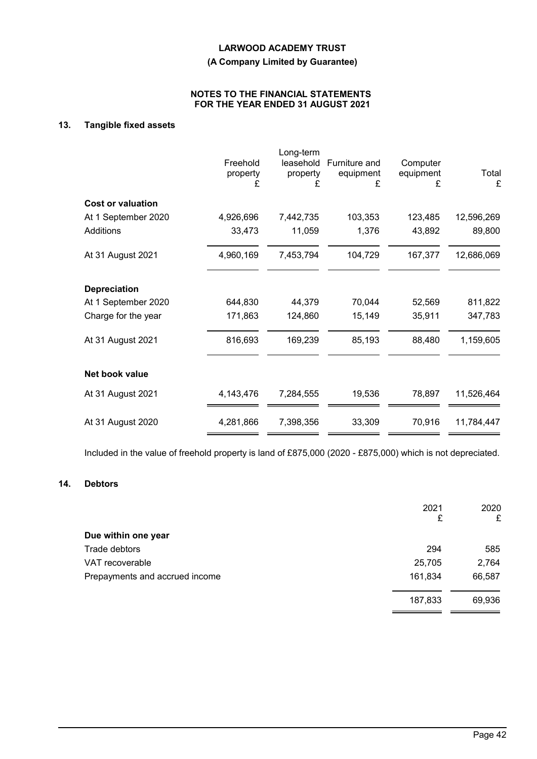**(A Company Limited by Guarantee)**

### **NOTES TO THE FINANCIAL STATEMENTS FOR THE YEAR ENDED 31 AUGUST 2021**

# **13. Tangible fixed assets**

|                          | Freehold<br>property<br>£ | Long-term<br>leasehold<br>property<br>£ | Furniture and<br>equipment<br>£ | Computer<br>equipment<br>£ | Total<br>£ |
|--------------------------|---------------------------|-----------------------------------------|---------------------------------|----------------------------|------------|
| <b>Cost or valuation</b> |                           |                                         |                                 |                            |            |
| At 1 September 2020      | 4,926,696                 | 7,442,735                               | 103,353                         | 123,485                    | 12,596,269 |
| Additions                | 33,473                    | 11,059                                  | 1,376                           | 43,892                     | 89,800     |
| At 31 August 2021        | 4,960,169                 | 7,453,794                               | 104,729                         | 167,377                    | 12,686,069 |
| <b>Depreciation</b>      |                           |                                         |                                 |                            |            |
| At 1 September 2020      | 644,830                   | 44,379                                  | 70,044                          | 52,569                     | 811,822    |
| Charge for the year      | 171,863                   | 124,860                                 | 15,149                          | 35,911                     | 347,783    |
| At 31 August 2021        | 816,693                   | 169,239                                 | 85,193                          | 88,480                     | 1,159,605  |
| Net book value           |                           |                                         |                                 |                            |            |
| At 31 August 2021        | 4,143,476                 | 7,284,555                               | 19,536                          | 78,897                     | 11,526,464 |
| At 31 August 2020        | 4,281,866                 | 7,398,356                               | 33,309                          | 70,916                     | 11,784,447 |

Included in the value of freehold property is land of £875,000 (2020 - £875,000) which is not depreciated.

# **14. Debtors**

|                                | 2021<br>£ | 2020<br>£ |
|--------------------------------|-----------|-----------|
| Due within one year            |           |           |
| Trade debtors                  | 294       | 585       |
| VAT recoverable                | 25,705    | 2,764     |
| Prepayments and accrued income | 161,834   | 66,587    |
|                                | 187,833   | 69,936    |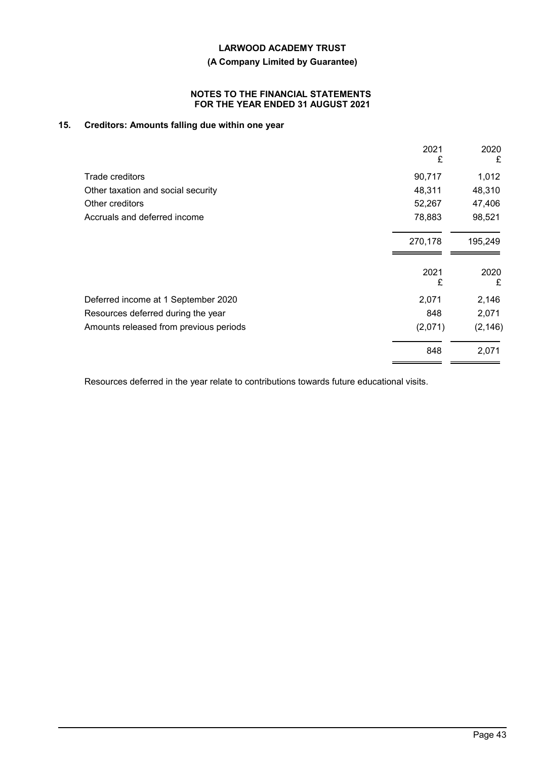## **(A Company Limited by Guarantee)**

### **NOTES TO THE FINANCIAL STATEMENTS FOR THE YEAR ENDED 31 AUGUST 2021**

# **15. Creditors: Amounts falling due within one year**

|                                        | 2021<br>£ | 2020<br>£ |
|----------------------------------------|-----------|-----------|
| Trade creditors                        | 90,717    | 1,012     |
| Other taxation and social security     | 48,311    | 48,310    |
| Other creditors                        | 52,267    | 47,406    |
| Accruals and deferred income           | 78,883    | 98,521    |
|                                        | 270,178   | 195,249   |
|                                        | 2021<br>£ | 2020<br>£ |
| Deferred income at 1 September 2020    | 2,071     | 2,146     |
| Resources deferred during the year     | 848       | 2,071     |
| Amounts released from previous periods | (2,071)   | (2, 146)  |
|                                        | 848       | 2,071     |

Resources deferred in the year relate to contributions towards future educational visits.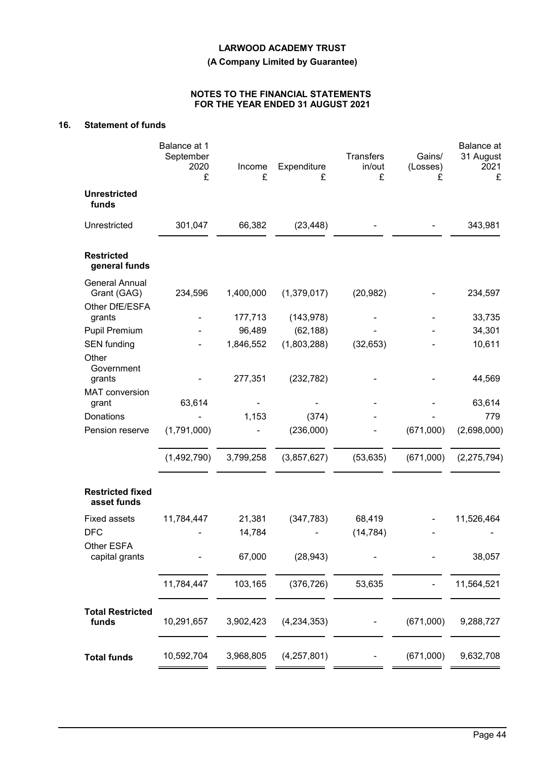**(A Company Limited by Guarantee)**

# **NOTES TO THE FINANCIAL STATEMENTS FOR THE YEAR ENDED 31 AUGUST 2021**

# **16. Statement of funds**

|                                                        | Balance at 1<br>September<br>2020<br>£ | Income<br>£ | Expenditure<br>£ | <b>Transfers</b><br>in/out<br>£ | Gains/<br>(Losses)<br>£ | Balance at<br>31 August<br>2021<br>£ |
|--------------------------------------------------------|----------------------------------------|-------------|------------------|---------------------------------|-------------------------|--------------------------------------|
| <b>Unrestricted</b><br>funds                           |                                        |             |                  |                                 |                         |                                      |
| Unrestricted                                           | 301,047                                | 66,382      | (23, 448)        |                                 |                         | 343,981                              |
| <b>Restricted</b><br>general funds                     |                                        |             |                  |                                 |                         |                                      |
| <b>General Annual</b><br>Grant (GAG)<br>Other DfE/ESFA | 234,596                                | 1,400,000   | (1,379,017)      | (20, 982)                       |                         | 234,597                              |
| grants                                                 |                                        | 177,713     | (143, 978)       |                                 |                         | 33,735                               |
| <b>Pupil Premium</b>                                   |                                        | 96,489      | (62, 188)        |                                 |                         | 34,301                               |
| <b>SEN</b> funding<br>Other<br>Government              |                                        | 1,846,552   | (1,803,288)      | (32, 653)                       |                         | 10,611                               |
| grants                                                 |                                        | 277,351     | (232, 782)       |                                 |                         | 44,569                               |
| <b>MAT</b> conversion<br>grant                         | 63,614                                 |             |                  |                                 |                         | 63,614                               |
| Donations                                              |                                        | 1,153       | (374)            |                                 |                         | 779                                  |
| Pension reserve                                        | (1,791,000)                            |             | (236,000)        |                                 | (671,000)               | (2,698,000)                          |
|                                                        | (1,492,790)                            | 3,799,258   | (3,857,627)      | (53, 635)                       | (671,000)               | (2, 275, 794)                        |
| <b>Restricted fixed</b><br>asset funds                 |                                        |             |                  |                                 |                         |                                      |
| <b>Fixed assets</b>                                    | 11,784,447                             | 21,381      | (347, 783)       | 68,419                          |                         | 11,526,464                           |
| <b>DFC</b>                                             |                                        | 14,784      |                  | (14, 784)                       |                         |                                      |
| Other ESFA<br>capital grants                           |                                        | 67,000      | (28, 943)        |                                 |                         | 38,057                               |
|                                                        | 11,784,447                             | 103,165     | (376, 726)       | 53,635                          |                         | 11,564,521                           |
| <b>Total Restricted</b><br>funds                       | 10,291,657                             | 3,902,423   | (4,234,353)      |                                 | (671,000)               | 9,288,727                            |
| <b>Total funds</b>                                     | 10,592,704                             | 3,968,805   | (4,257,801)      |                                 | (671,000)               | 9,632,708                            |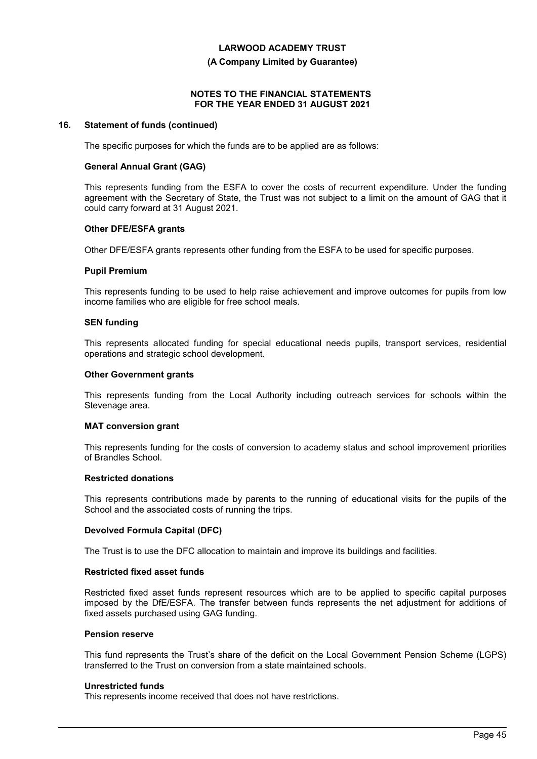#### **(A Company Limited by Guarantee)**

#### **NOTES TO THE FINANCIAL STATEMENTS FOR THE YEAR ENDED 31 AUGUST 2021**

#### **16. Statement of funds (continued)**

The specific purposes for which the funds are to be applied are as follows:

#### **General Annual Grant (GAG)**

This represents funding from the ESFA to cover the costs of recurrent expenditure. Under the funding agreement with the Secretary of State, the Trust was not subject to a limit on the amount of GAG that it could carry forward at 31 August 2021.

#### **Other DFE/ESFA grants**

Other DFE/ESFA grants represents other funding from the ESFA to be used for specific purposes.

#### **Pupil Premium**

This represents funding to be used to help raise achievement and improve outcomes for pupils from low income families who are eligible for free school meals.

#### **SEN funding**

This represents allocated funding for special educational needs pupils, transport services, residential operations and strategic school development.

#### **Other Government grants**

This represents funding from the Local Authority including outreach services for schools within the Stevenage area.

#### **MAT conversion grant**

This represents funding for the costs of conversion to academy status and school improvement priorities of Brandles School.

#### **Restricted donations**

This represents contributions made by parents to the running of educational visits for the pupils of the School and the associated costs of running the trips.

#### **Devolved Formula Capital (DFC)**

The Trust is to use the DFC allocation to maintain and improve its buildings and facilities.

#### **Restricted fixed asset funds**

Restricted fixed asset funds represent resources which are to be applied to specific capital purposes imposed by the DfE/ESFA. The transfer between funds represents the net adjustment for additions of fixed assets purchased using GAG funding.

#### **Pension reserve**

This fund represents the Trust's share of the deficit on the Local Government Pension Scheme (LGPS) transferred to the Trust on conversion from a state maintained schools.

#### **Unrestricted funds**

This represents income received that does not have restrictions.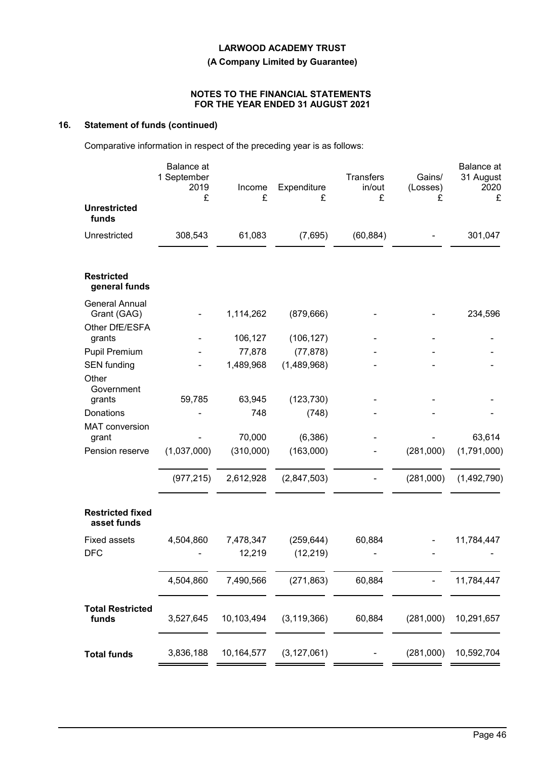### **(A Company Limited by Guarantee)**

### **NOTES TO THE FINANCIAL STATEMENTS FOR THE YEAR ENDED 31 AUGUST 2021**

# **16. Statement of funds (continued)**

Comparative information in respect of the preceding year is as follows:

|                                        | <b>Balance</b> at<br>1 September<br>2019<br>£ | Income<br>£ | Expenditure<br>£ | <b>Transfers</b><br>in/out<br>£ | Gains/<br>(Losses)<br>£ | <b>Balance</b> at<br>31 August<br>2020<br>£ |
|----------------------------------------|-----------------------------------------------|-------------|------------------|---------------------------------|-------------------------|---------------------------------------------|
| <b>Unrestricted</b><br>funds           |                                               |             |                  |                                 |                         |                                             |
| Unrestricted                           | 308,543                                       | 61,083      | (7,695)          | (60, 884)                       |                         | 301,047                                     |
| <b>Restricted</b><br>general funds     |                                               |             |                  |                                 |                         |                                             |
| <b>General Annual</b><br>Grant (GAG)   |                                               | 1,114,262   | (879, 666)       |                                 |                         | 234,596                                     |
| Other DfE/ESFA<br>grants               |                                               | 106,127     | (106, 127)       |                                 |                         |                                             |
| <b>Pupil Premium</b>                   |                                               | 77,878      | (77, 878)        |                                 |                         |                                             |
| <b>SEN</b> funding                     |                                               | 1,489,968   | (1,489,968)      |                                 |                         |                                             |
| Other<br>Government                    |                                               |             |                  |                                 |                         |                                             |
| grants                                 | 59,785                                        | 63,945      | (123, 730)       |                                 |                         |                                             |
| Donations                              |                                               | 748         | (748)            |                                 |                         |                                             |
| MAT conversion<br>grant                |                                               | 70,000      | (6, 386)         |                                 |                         | 63,614                                      |
| Pension reserve                        | (1,037,000)                                   | (310,000)   | (163,000)        |                                 | (281,000)               | (1,791,000)                                 |
|                                        | (977, 215)                                    | 2,612,928   | (2,847,503)      |                                 | (281,000)               | (1,492,790)                                 |
| <b>Restricted fixed</b><br>asset funds |                                               |             |                  |                                 |                         |                                             |
| <b>Fixed assets</b>                    | 4,504,860                                     | 7,478,347   | (259, 644)       | 60,884                          |                         | 11,784,447                                  |
| <b>DFC</b>                             |                                               | 12,219      | (12, 219)        |                                 |                         |                                             |
|                                        | 4,504,860                                     | 7,490,566   | (271, 863)       | 60,884                          |                         | 11,784,447                                  |
| <b>Total Restricted</b><br>funds       | 3,527,645                                     | 10,103,494  | (3, 119, 366)    | 60,884                          | (281,000)               | 10,291,657                                  |
| <b>Total funds</b>                     | 3,836,188                                     | 10,164,577  | (3, 127, 061)    |                                 | (281,000)               | 10,592,704                                  |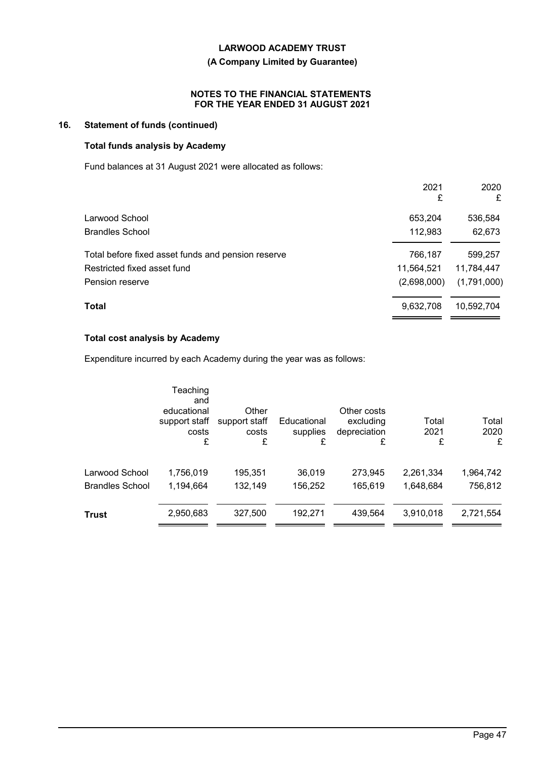# **(A Company Limited by Guarantee)**

### **NOTES TO THE FINANCIAL STATEMENTS FOR THE YEAR ENDED 31 AUGUST 2021**

# **16. Statement of funds (continued)**

# **Total funds analysis by Academy**

Fund balances at 31 August 2021 were allocated as follows:

|                                                    | 2021<br>£   | 2020<br>£   |
|----------------------------------------------------|-------------|-------------|
| Larwood School                                     | 653,204     | 536,584     |
| <b>Brandles School</b>                             | 112,983     | 62,673      |
| Total before fixed asset funds and pension reserve | 766,187     | 599,257     |
| Restricted fixed asset fund                        | 11,564,521  | 11,784,447  |
| Pension reserve                                    | (2,698,000) | (1,791,000) |
| Total                                              | 9,632,708   | 10,592,704  |

# **Total cost analysis by Academy**

Expenditure incurred by each Academy during the year was as follows:

|                        | Teaching<br>and<br>educational<br>support staff<br>costs<br>£ | Other<br>support staff<br>costs<br>£ | Educational<br>supplies<br>£ | Other costs<br>excluding<br>depreciation<br>£ | Total<br>2021<br>£ | Total<br>2020<br>£ |
|------------------------|---------------------------------------------------------------|--------------------------------------|------------------------------|-----------------------------------------------|--------------------|--------------------|
| Larwood School         | 1,756,019                                                     | 195,351                              | 36,019                       | 273,945                                       | 2,261,334          | 1,964,742          |
| <b>Brandles School</b> | 1,194,664                                                     | 132,149                              | 156,252                      | 165,619                                       | 1,648,684          | 756,812            |
| <b>Trust</b>           | 2,950,683                                                     | 327,500                              | 192,271                      | 439.564                                       | 3,910,018          | 2,721,554          |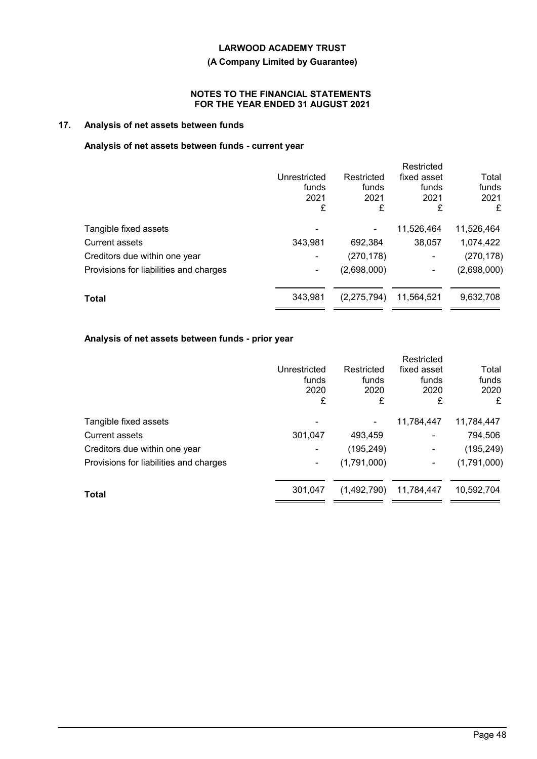## **(A Company Limited by Guarantee)**

### **NOTES TO THE FINANCIAL STATEMENTS FOR THE YEAR ENDED 31 AUGUST 2021**

# **17. Analysis of net assets between funds**

# **Analysis of net assets between funds - current year**

|              |               | Restricted     |             |
|--------------|---------------|----------------|-------------|
| Unrestricted | Restricted    | fixed asset    | Total       |
| funds        | funds         | funds          | funds       |
| 2021         | 2021          | 2021           | 2021        |
| £            | £             | £              | £           |
|              |               | 11,526,464     | 11,526,464  |
| 343,981      | 692,384       | 38,057         | 1,074,422   |
|              | (270, 178)    | $\blacksquare$ | (270, 178)  |
|              | (2,698,000)   | ٠              | (2,698,000) |
| 343,981      | (2, 275, 794) | 11,564,521     | 9,632,708   |
|              |               |                |             |

# **Analysis of net assets between funds - prior year**

|                                        | Unrestricted<br>funds<br>2020<br>£ | Restricted<br>funds<br>2020<br>£ | Restricted<br>fixed asset<br>funds<br>2020<br>£ | Total<br>funds<br>2020<br>£ |
|----------------------------------------|------------------------------------|----------------------------------|-------------------------------------------------|-----------------------------|
| Tangible fixed assets                  |                                    |                                  | 11,784,447                                      | 11,784,447                  |
| <b>Current assets</b>                  | 301,047                            | 493,459                          | $\blacksquare$                                  | 794,506                     |
| Creditors due within one year          |                                    | (195, 249)                       |                                                 | (195, 249)                  |
| Provisions for liabilities and charges | ۰                                  | (1,791,000)                      | ۰                                               | (1,791,000)                 |
| <b>Total</b>                           | 301.047                            | (1,492,790)                      | 11,784,447                                      | 10,592,704                  |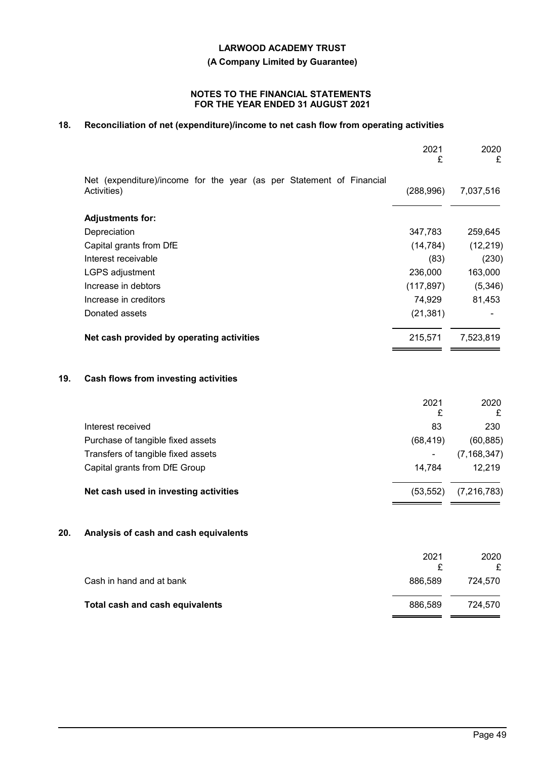**(A Company Limited by Guarantee)**

### **NOTES TO THE FINANCIAL STATEMENTS FOR THE YEAR ENDED 31 AUGUST 2021**

# **18. Reconciliation of net (expenditure)/income to net cash flow from operating activities**

|     |                                                                                     | 2021<br>£  | 2020<br>£     |
|-----|-------------------------------------------------------------------------------------|------------|---------------|
|     | Net (expenditure)/income for the year (as per Statement of Financial<br>Activities) | (288, 996) | 7,037,516     |
|     | <b>Adjustments for:</b>                                                             |            |               |
|     | Depreciation                                                                        | 347,783    | 259,645       |
|     | Capital grants from DfE                                                             | (14, 784)  | (12, 219)     |
|     | Interest receivable                                                                 | (83)       | (230)         |
|     | LGPS adjustment                                                                     | 236,000    | 163,000       |
|     | Increase in debtors                                                                 | (117, 897) | (5,346)       |
|     | Increase in creditors                                                               | 74,929     | 81,453        |
|     | Donated assets                                                                      | (21, 381)  |               |
|     | Net cash provided by operating activities                                           | 215,571    | 7,523,819     |
| 19. | Cash flows from investing activities                                                |            |               |
|     |                                                                                     | 2021<br>£  | 2020<br>£     |
|     | Interest received                                                                   | 83         | 230           |
|     | Purchase of tangible fixed assets                                                   | (68, 419)  | (60, 885)     |
|     | Transfers of tangible fixed assets                                                  |            | (7, 168, 347) |
|     | Capital grants from DfE Group                                                       | 14,784     | 12,219        |
|     | Net cash used in investing activities                                               | (53, 552)  | (7, 216, 783) |
| 20. | Analysis of cash and cash equivalents                                               |            |               |
|     |                                                                                     | 2021<br>£  | 2020<br>£     |
|     | Cash in hand and at bank                                                            | 886,589    | 724,570       |
|     | <b>Total cash and cash equivalents</b>                                              | 886,589    | 724,570       |

 $=$   $=$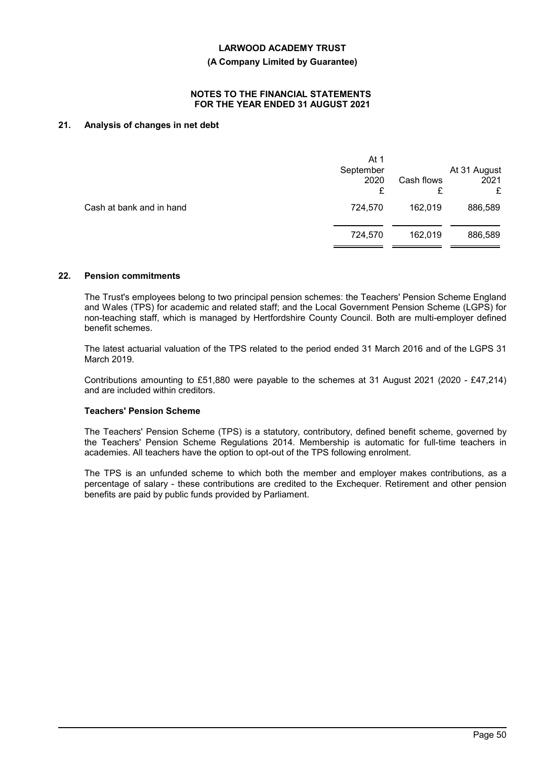#### **(A Company Limited by Guarantee)**

#### **NOTES TO THE FINANCIAL STATEMENTS FOR THE YEAR ENDED 31 AUGUST 2021**

# **21. Analysis of changes in net debt**

|                          | At 1<br>September<br>2020<br>£ | Cash flows<br>£ | At 31 August<br>2021<br>£ |
|--------------------------|--------------------------------|-----------------|---------------------------|
| Cash at bank and in hand | 724,570                        | 162,019         | 886,589                   |
|                          | 724,570                        | 162,019         | 886,589                   |
|                          |                                |                 |                           |

### **22. Pension commitments**

The Trust's employees belong to two principal pension schemes: the Teachers' Pension Scheme England and Wales (TPS) for academic and related staff; and the Local Government Pension Scheme (LGPS) for non-teaching staff, which is managed by Hertfordshire County Council. Both are multi-employer defined benefit schemes.

The latest actuarial valuation of the TPS related to the period ended 31 March 2016 and of the LGPS 31 March 2019.

Contributions amounting to £51,880 were payable to the schemes at 31 August 2021 (2020 - £47,214) and are included within creditors.

#### **Teachers' Pension Scheme**

The Teachers' Pension Scheme (TPS) is a statutory, contributory, defined benefit scheme, governed by the Teachers' Pension Scheme Regulations 2014. Membership is automatic for full-time teachers in academies. All teachers have the option to opt-out of the TPS following enrolment.

The TPS is an unfunded scheme to which both the member and employer makes contributions, as a percentage of salary - these contributions are credited to the Exchequer. Retirement and other pension benefits are paid by public funds provided by Parliament.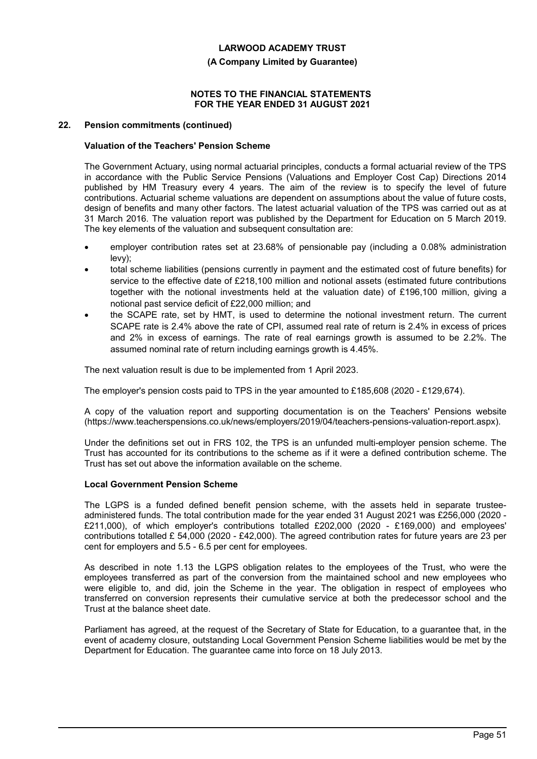#### **(A Company Limited by Guarantee)**

#### **NOTES TO THE FINANCIAL STATEMENTS FOR THE YEAR ENDED 31 AUGUST 2021**

### **22. Pension commitments (continued)**

### **Valuation of the Teachers' Pension Scheme**

The Government Actuary, using normal actuarial principles, conducts a formal actuarial review of the TPS in accordance with the Public Service Pensions (Valuations and Employer Cost Cap) Directions 2014 published by HM Treasury every 4 years. The aim of the review is to specify the level of future contributions. Actuarial scheme valuations are dependent on assumptions about the value of future costs, design of benefits and many other factors. The latest actuarial valuation of the TPS was carried out as at 31 March 2016. The valuation report was published by the Department for Education on 5 March 2019. The key elements of the valuation and subsequent consultation are:

- employer contribution rates set at 23.68% of pensionable pay (including a 0.08% administration levy);
- total scheme liabilities (pensions currently in payment and the estimated cost of future benefits) for service to the effective date of £218,100 million and notional assets (estimated future contributions together with the notional investments held at the valuation date) of £196,100 million, giving a notional past service deficit of £22,000 million; and
- the SCAPE rate, set by HMT, is used to determine the notional investment return. The current SCAPE rate is 2.4% above the rate of CPI, assumed real rate of return is 2.4% in excess of prices and 2% in excess of earnings. The rate of real earnings growth is assumed to be 2.2%. The assumed nominal rate of return including earnings growth is 4.45%.

The next valuation result is due to be implemented from 1 April 2023.

The employer's pension costs paid to TPS in the year amounted to £185,608 (2020 - £129,674).

A copy of the valuation report and supporting documentation is on the Teachers' Pensions website (https://www.teacherspensions.co.uk/news/employers/2019/04/teachers-pensions-valuation-report.aspx).

Under the definitions set out in FRS 102, the TPS is an unfunded multi-employer pension scheme. The Trust has accounted for its contributions to the scheme as if it were a defined contribution scheme. The Trust has set out above the information available on the scheme.

#### **Local Government Pension Scheme**

The LGPS is a funded defined benefit pension scheme, with the assets held in separate trusteeadministered funds. The total contribution made for the year ended 31 August 2021 was £256,000 (2020 - £211,000), of which employer's contributions totalled £202,000 (2020 - £169,000) and employees' contributions totalled £ 54,000 (2020 - £42,000). The agreed contribution rates for future years are 23 per cent for employers and 5.5 - 6.5 per cent for employees.

As described in note 1.13 the LGPS obligation relates to the employees of the Trust, who were the employees transferred as part of the conversion from the maintained school and new employees who were eligible to, and did, join the Scheme in the year. The obligation in respect of employees who transferred on conversion represents their cumulative service at both the predecessor school and the Trust at the balance sheet date.

Parliament has agreed, at the request of the Secretary of State for Education, to a guarantee that, in the event of academy closure, outstanding Local Government Pension Scheme liabilities would be met by the Department for Education. The guarantee came into force on 18 July 2013.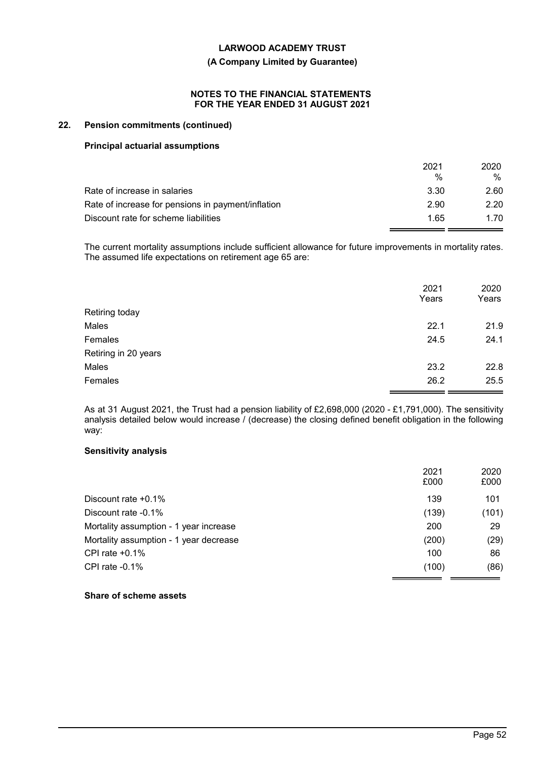#### **(A Company Limited by Guarantee)**

### **NOTES TO THE FINANCIAL STATEMENTS FOR THE YEAR ENDED 31 AUGUST 2021**

### **22. Pension commitments (continued)**

### **Principal actuarial assumptions**

|                                                    | 2021<br>% | 2020<br>% |
|----------------------------------------------------|-----------|-----------|
| Rate of increase in salaries                       | 3.30      | 2.60      |
| Rate of increase for pensions in payment/inflation | 2.90      | 2.20      |
| Discount rate for scheme liabilities               | 1.65      | 1.70      |

The current mortality assumptions include sufficient allowance for future improvements in mortality rates. The assumed life expectations on retirement age 65 are:

|                      | 2021<br>Years | 2020<br>Years |
|----------------------|---------------|---------------|
| Retiring today       |               |               |
| Males                | 22.1          | 21.9          |
| Females              | 24.5          | 24.1          |
| Retiring in 20 years |               |               |
| Males                | 23.2          | 22.8          |
| Females              | 26.2          | 25.5          |
|                      |               |               |

As at 31 August 2021, the Trust had a pension liability of £2,698,000 (2020 - £1,791,000). The sensitivity analysis detailed below would increase / (decrease) the closing defined benefit obligation in the following way:

## **Sensitivity analysis**

|                                        | 2021<br>£000 | 2020<br>£000 |
|----------------------------------------|--------------|--------------|
| Discount rate $+0.1\%$                 | 139          | 101          |
| Discount rate -0.1%                    | (139)        | (101)        |
| Mortality assumption - 1 year increase | 200          | 29           |
| Mortality assumption - 1 year decrease | (200)        | (29)         |
| CPI rate $+0.1\%$                      | 100          | 86           |
| CPI rate $-0.1\%$                      | (100)        | (86)         |

## **Share of scheme assets**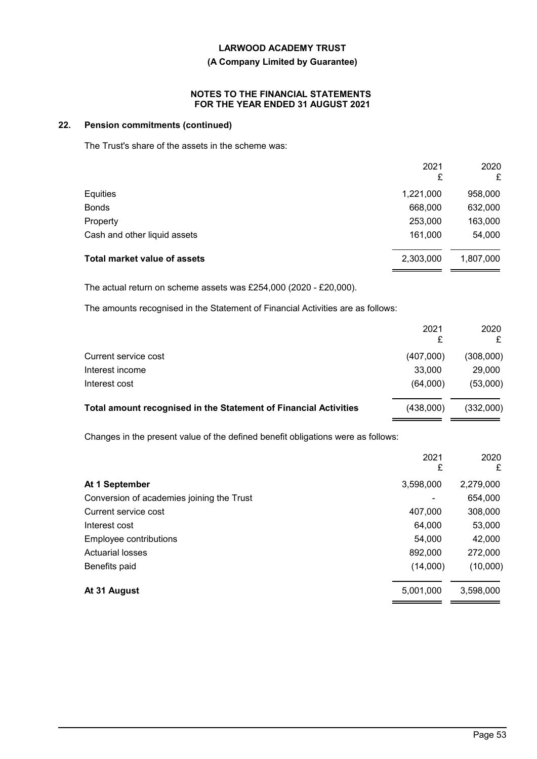## **(A Company Limited by Guarantee)**

### **NOTES TO THE FINANCIAL STATEMENTS FOR THE YEAR ENDED 31 AUGUST 2021**

# **22. Pension commitments (continued)**

The Trust's share of the assets in the scheme was:

|                                     | 2021<br>£ | 2020<br>£ |
|-------------------------------------|-----------|-----------|
| Equities                            | 1,221,000 | 958,000   |
| <b>Bonds</b>                        | 668,000   | 632,000   |
| Property                            | 253,000   | 163,000   |
| Cash and other liquid assets        | 161,000   | 54,000    |
| <b>Total market value of assets</b> | 2,303,000 | 1,807,000 |

The actual return on scheme assets was £254,000 (2020 - £20,000).

The amounts recognised in the Statement of Financial Activities are as follows:

|                                                                  | 2021      | 2020      |
|------------------------------------------------------------------|-----------|-----------|
| Current service cost                                             | (407,000) | (308,000) |
| Interest income                                                  | 33,000    | 29,000    |
| Interest cost                                                    | (64,000)  | (53,000)  |
| Total amount recognised in the Statement of Financial Activities | (438,000) | (332,000) |

Changes in the present value of the defined benefit obligations were as follows:

|                                           | 2021<br>£ | 2020<br>£ |
|-------------------------------------------|-----------|-----------|
| At 1 September                            | 3,598,000 | 2,279,000 |
| Conversion of academies joining the Trust |           | 654,000   |
| Current service cost                      | 407,000   | 308,000   |
| Interest cost                             | 64,000    | 53,000    |
| Employee contributions                    | 54,000    | 42,000    |
| <b>Actuarial losses</b>                   | 892,000   | 272,000   |
| Benefits paid                             | (14,000)  | (10,000)  |
| At 31 August                              | 5,001,000 | 3,598,000 |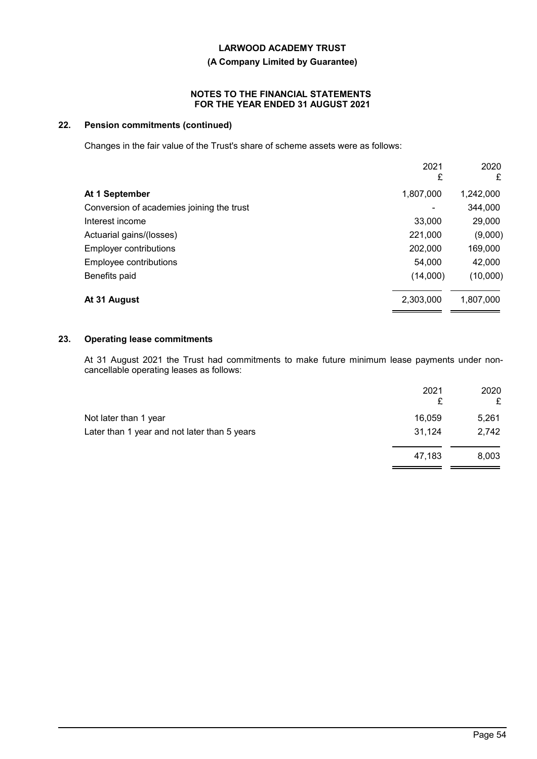### **(A Company Limited by Guarantee)**

### **NOTES TO THE FINANCIAL STATEMENTS FOR THE YEAR ENDED 31 AUGUST 2021**

# **22. Pension commitments (continued)**

Changes in the fair value of the Trust's share of scheme assets were as follows:

|                                           | 2021<br>£ | 2020<br>£ |
|-------------------------------------------|-----------|-----------|
| At 1 September                            | 1,807,000 | 1,242,000 |
| Conversion of academies joining the trust | ۰         | 344,000   |
| Interest income                           | 33,000    | 29,000    |
| Actuarial gains/(losses)                  | 221,000   | (9,000)   |
| <b>Employer contributions</b>             | 202,000   | 169,000   |
| Employee contributions                    | 54,000    | 42,000    |
| Benefits paid                             | (14,000)  | (10,000)  |
| At 31 August                              | 2,303,000 | 1,807,000 |

## **23. Operating lease commitments**

At 31 August 2021 the Trust had commitments to make future minimum lease payments under noncancellable operating leases as follows:

|                                              | 2021<br>£ | 2020<br>£ |
|----------------------------------------------|-----------|-----------|
| Not later than 1 year                        | 16,059    | 5,261     |
| Later than 1 year and not later than 5 years | 31,124    | 2,742     |
|                                              | 47,183    | 8,003     |